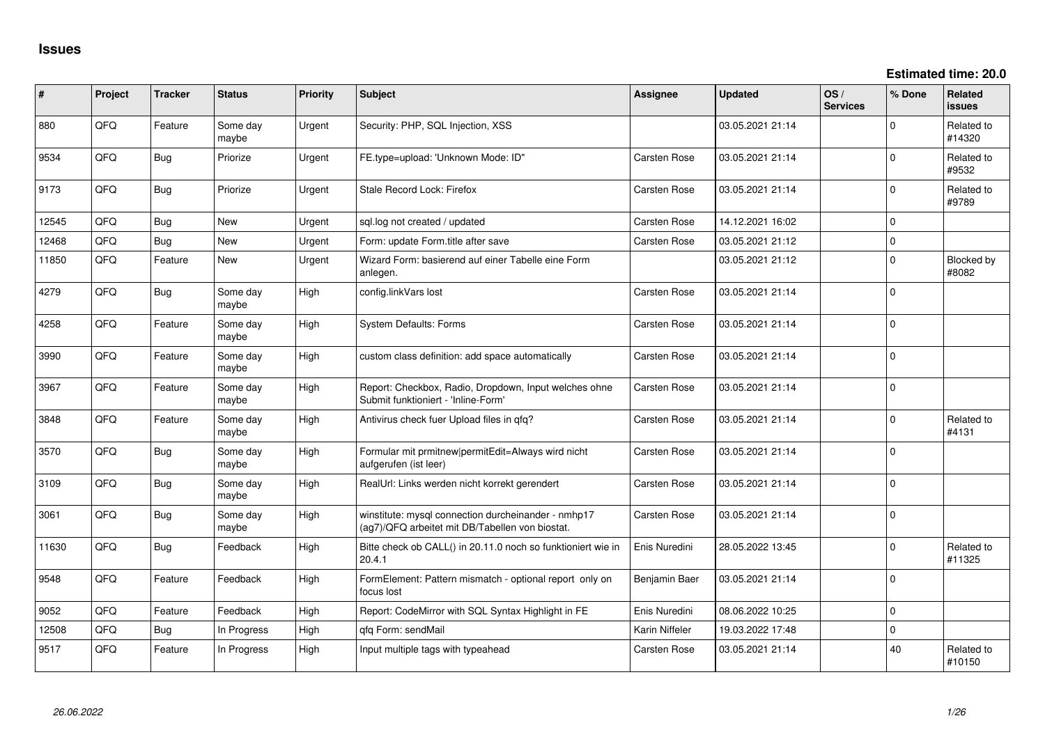**Estimated time: 20.0**

| ∦     | Project | <b>Tracker</b> | <b>Status</b>     | <b>Priority</b> | Subject                                                                                                | <b>Assignee</b>     | <b>Updated</b>   | OS/<br><b>Services</b> | % Done         | Related<br><b>issues</b> |
|-------|---------|----------------|-------------------|-----------------|--------------------------------------------------------------------------------------------------------|---------------------|------------------|------------------------|----------------|--------------------------|
| 880   | QFQ     | Feature        | Some day<br>maybe | Urgent          | Security: PHP, SQL Injection, XSS                                                                      |                     | 03.05.2021 21:14 |                        | $\Omega$       | Related to<br>#14320     |
| 9534  | QFQ     | <b>Bug</b>     | Priorize          | Urgent          | FE.type=upload: 'Unknown Mode: ID"                                                                     | Carsten Rose        | 03.05.2021 21:14 |                        | $\Omega$       | Related to<br>#9532      |
| 9173  | QFQ     | <b>Bug</b>     | Priorize          | Urgent          | Stale Record Lock: Firefox                                                                             | Carsten Rose        | 03.05.2021 21:14 |                        | $\Omega$       | Related to<br>#9789      |
| 12545 | QFQ     | <b>Bug</b>     | New               | Urgent          | sql.log not created / updated                                                                          | Carsten Rose        | 14.12.2021 16:02 |                        | $\Omega$       |                          |
| 12468 | QFQ     | <b>Bug</b>     | <b>New</b>        | Urgent          | Form: update Form.title after save                                                                     | Carsten Rose        | 03.05.2021 21:12 |                        | $\mathbf 0$    |                          |
| 11850 | QFQ     | Feature        | New               | Urgent          | Wizard Form: basierend auf einer Tabelle eine Form<br>anlegen.                                         |                     | 03.05.2021 21:12 |                        | $\Omega$       | Blocked by<br>#8082      |
| 4279  | QFQ     | <b>Bug</b>     | Some day<br>maybe | High            | config.linkVars lost                                                                                   | Carsten Rose        | 03.05.2021 21:14 |                        | $\mathbf 0$    |                          |
| 4258  | QFQ     | Feature        | Some day<br>maybe | High            | <b>System Defaults: Forms</b>                                                                          | Carsten Rose        | 03.05.2021 21:14 |                        | $\mathbf 0$    |                          |
| 3990  | QFQ     | Feature        | Some day<br>maybe | High            | custom class definition: add space automatically                                                       | Carsten Rose        | 03.05.2021 21:14 |                        | $\mathbf 0$    |                          |
| 3967  | QFQ     | Feature        | Some day<br>maybe | High            | Report: Checkbox, Radio, Dropdown, Input welches ohne<br>Submit funktioniert - 'Inline-Form'           | <b>Carsten Rose</b> | 03.05.2021 21:14 |                        | $\mathbf 0$    |                          |
| 3848  | QFQ     | Feature        | Some day<br>maybe | High            | Antivirus check fuer Upload files in qfq?                                                              | Carsten Rose        | 03.05.2021 21:14 |                        | $\mathbf 0$    | Related to<br>#4131      |
| 3570  | QFQ     | <b>Bug</b>     | Some day<br>maybe | High            | Formular mit prmitnew permitEdit=Always wird nicht<br>aufgerufen (ist leer)                            | Carsten Rose        | 03.05.2021 21:14 |                        | $\mathbf 0$    |                          |
| 3109  | QFQ     | <b>Bug</b>     | Some day<br>maybe | High            | RealUrl: Links werden nicht korrekt gerendert                                                          | Carsten Rose        | 03.05.2021 21:14 |                        | $\Omega$       |                          |
| 3061  | QFQ     | <b>Bug</b>     | Some day<br>maybe | High            | winstitute: mysql connection durcheinander - nmhp17<br>(ag7)/QFQ arbeitet mit DB/Tabellen von biostat. | Carsten Rose        | 03.05.2021 21:14 |                        | $\mathbf 0$    |                          |
| 11630 | QFQ     | <b>Bug</b>     | Feedback          | High            | Bitte check ob CALL() in 20.11.0 noch so funktioniert wie in<br>20.4.1                                 | Enis Nuredini       | 28.05.2022 13:45 |                        | $\Omega$       | Related to<br>#11325     |
| 9548  | QFQ     | Feature        | Feedback          | High            | FormElement: Pattern mismatch - optional report only on<br>focus lost                                  | Benjamin Baer       | 03.05.2021 21:14 |                        | $\Omega$       |                          |
| 9052  | QFQ     | Feature        | Feedback          | High            | Report: CodeMirror with SQL Syntax Highlight in FE                                                     | Enis Nuredini       | 08.06.2022 10:25 |                        | $\overline{0}$ |                          |
| 12508 | QFQ     | Bug            | In Progress       | High            | gfg Form: sendMail                                                                                     | Karin Niffeler      | 19.03.2022 17:48 |                        | $\mathbf 0$    |                          |
| 9517  | QFQ     | Feature        | In Progress       | High            | Input multiple tags with typeahead                                                                     | <b>Carsten Rose</b> | 03.05.2021 21:14 |                        | 40             | Related to<br>#10150     |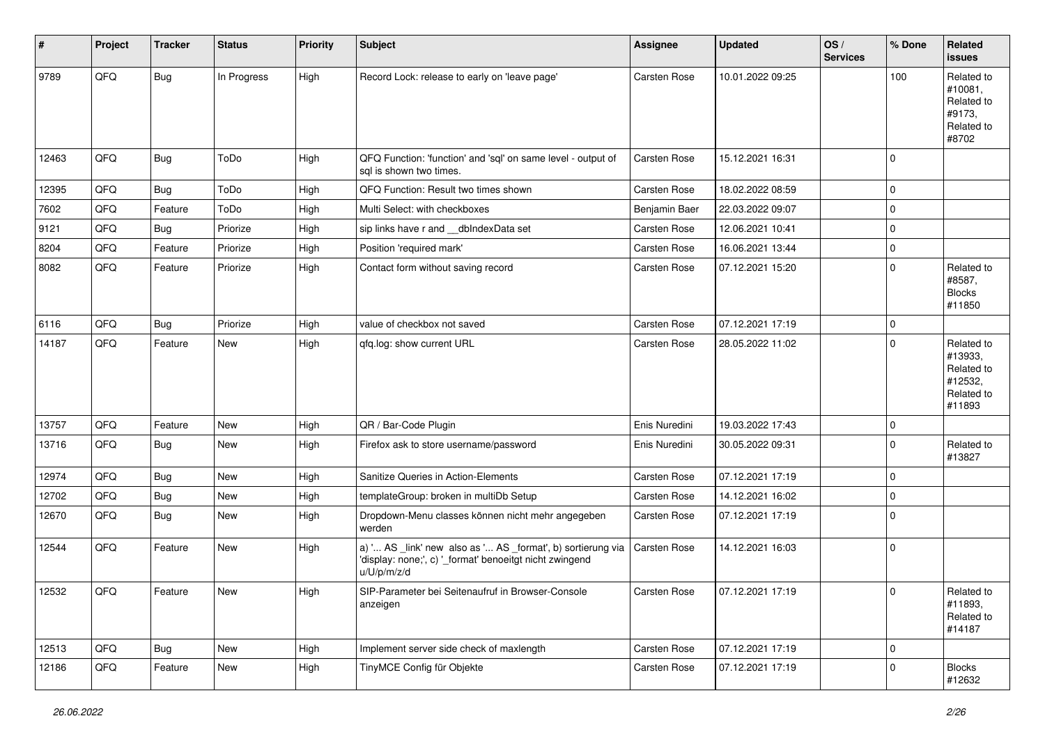| $\vert$ # | Project | <b>Tracker</b> | <b>Status</b> | <b>Priority</b> | Subject                                                                                                                               | <b>Assignee</b>     | <b>Updated</b>   | OS/<br><b>Services</b> | % Done      | Related<br><b>issues</b>                                               |
|-----------|---------|----------------|---------------|-----------------|---------------------------------------------------------------------------------------------------------------------------------------|---------------------|------------------|------------------------|-------------|------------------------------------------------------------------------|
| 9789      | QFQ     | Bug            | In Progress   | High            | Record Lock: release to early on 'leave page'                                                                                         | <b>Carsten Rose</b> | 10.01.2022 09:25 |                        | 100         | Related to<br>#10081,<br>Related to<br>#9173,<br>Related to<br>#8702   |
| 12463     | QFQ     | Bug            | ToDo          | High            | QFQ Function: 'function' and 'sql' on same level - output of<br>sql is shown two times.                                               | <b>Carsten Rose</b> | 15.12.2021 16:31 |                        | $\mathbf 0$ |                                                                        |
| 12395     | QFQ     | Bug            | ToDo          | High            | QFQ Function: Result two times shown                                                                                                  | <b>Carsten Rose</b> | 18.02.2022 08:59 |                        | $\mathbf 0$ |                                                                        |
| 7602      | QFQ     | Feature        | ToDo          | High            | Multi Select: with checkboxes                                                                                                         | Benjamin Baer       | 22.03.2022 09:07 |                        | $\mathbf 0$ |                                                                        |
| 9121      | QFQ     | <b>Bug</b>     | Priorize      | High            | sip links have r and __dbIndexData set                                                                                                | Carsten Rose        | 12.06.2021 10:41 |                        | $\mathbf 0$ |                                                                        |
| 8204      | QFQ     | Feature        | Priorize      | High            | Position 'required mark'                                                                                                              | <b>Carsten Rose</b> | 16.06.2021 13:44 |                        | $\mathbf 0$ |                                                                        |
| 8082      | QFQ     | Feature        | Priorize      | High            | Contact form without saving record                                                                                                    | <b>Carsten Rose</b> | 07.12.2021 15:20 |                        | $\mathbf 0$ | Related to<br>#8587,<br><b>Blocks</b><br>#11850                        |
| 6116      | QFQ     | Bug            | Priorize      | High            | value of checkbox not saved                                                                                                           | Carsten Rose        | 07.12.2021 17:19 |                        | $\mathbf 0$ |                                                                        |
| 14187     | QFQ     | Feature        | New           | High            | qfq.log: show current URL                                                                                                             | <b>Carsten Rose</b> | 28.05.2022 11:02 |                        | $\mathbf 0$ | Related to<br>#13933,<br>Related to<br>#12532,<br>Related to<br>#11893 |
| 13757     | QFQ     | Feature        | <b>New</b>    | High            | QR / Bar-Code Plugin                                                                                                                  | Enis Nuredini       | 19.03.2022 17:43 |                        | $\mathbf 0$ |                                                                        |
| 13716     | QFQ     | Bug            | New           | High            | Firefox ask to store username/password                                                                                                | Enis Nuredini       | 30.05.2022 09:31 |                        | $\mathbf 0$ | Related to<br>#13827                                                   |
| 12974     | QFQ     | <b>Bug</b>     | <b>New</b>    | High            | Sanitize Queries in Action-Elements                                                                                                   | <b>Carsten Rose</b> | 07.12.2021 17:19 |                        | $\mathbf 0$ |                                                                        |
| 12702     | QFQ     | <b>Bug</b>     | New           | High            | templateGroup: broken in multiDb Setup                                                                                                | <b>Carsten Rose</b> | 14.12.2021 16:02 |                        | $\mathbf 0$ |                                                                        |
| 12670     | QFQ     | Bug            | New           | High            | Dropdown-Menu classes können nicht mehr angegeben<br>werden                                                                           | <b>Carsten Rose</b> | 07.12.2021 17:19 |                        | $\mathbf 0$ |                                                                        |
| 12544     | QFQ     | Feature        | New           | High            | a) ' AS _link' new also as ' AS _format', b) sortierung via<br>'display: none;', c) '_format' benoeitgt nicht zwingend<br>u/U/p/m/z/d | Carsten Rose        | 14.12.2021 16:03 |                        | $\mathbf 0$ |                                                                        |
| 12532     | QFQ     | Feature        | New           | High            | SIP-Parameter bei Seitenaufruf in Browser-Console<br>anzeigen                                                                         | <b>Carsten Rose</b> | 07.12.2021 17:19 |                        | $\pmb{0}$   | Related to<br>#11893,<br>Related to<br>#14187                          |
| 12513     | QFQ     | Bug            | New           | High            | Implement server side check of maxlength                                                                                              | Carsten Rose        | 07.12.2021 17:19 |                        | $\mathbf 0$ |                                                                        |
| 12186     | QFQ     | Feature        | New           | High            | TinyMCE Config für Objekte                                                                                                            | Carsten Rose        | 07.12.2021 17:19 |                        | $\mathbf 0$ | <b>Blocks</b><br>#12632                                                |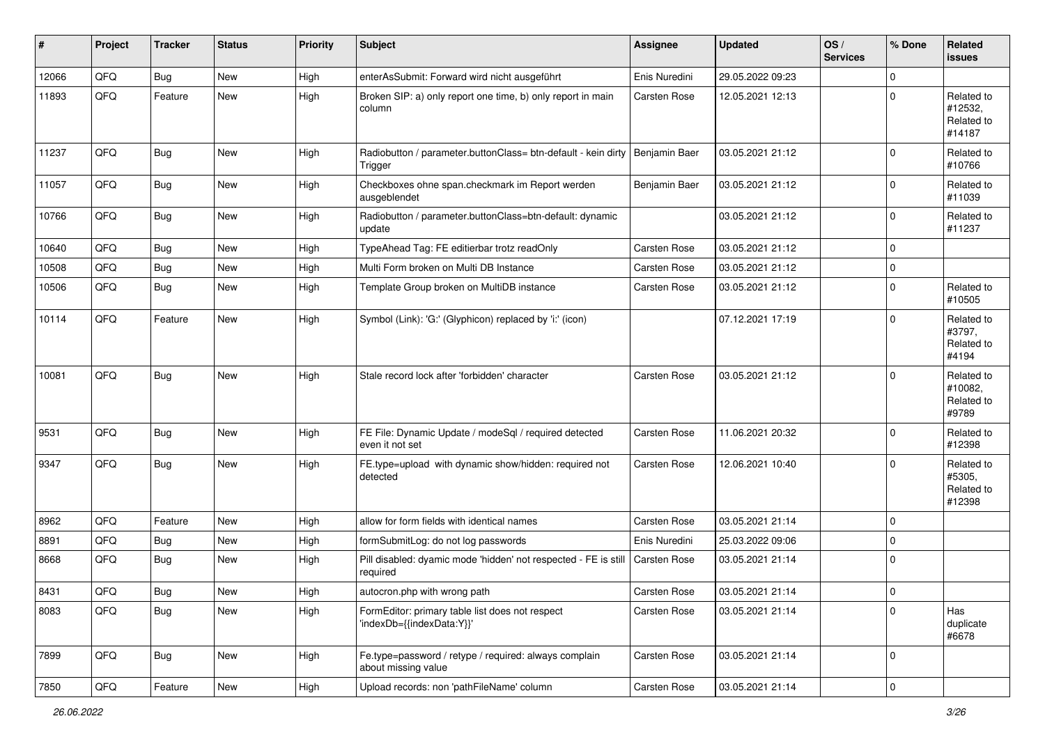| #     | Project | <b>Tracker</b> | <b>Status</b> | Priority | <b>Subject</b>                                                               | Assignee      | <b>Updated</b>   | OS/<br><b>Services</b> | % Done      | Related<br><b>issues</b>                      |
|-------|---------|----------------|---------------|----------|------------------------------------------------------------------------------|---------------|------------------|------------------------|-------------|-----------------------------------------------|
| 12066 | QFQ     | Bug            | <b>New</b>    | High     | enterAsSubmit: Forward wird nicht ausgeführt                                 | Enis Nuredini | 29.05.2022 09:23 |                        | $\Omega$    |                                               |
| 11893 | QFQ     | Feature        | <b>New</b>    | High     | Broken SIP: a) only report one time, b) only report in main<br>column        | Carsten Rose  | 12.05.2021 12:13 |                        | $\Omega$    | Related to<br>#12532,<br>Related to<br>#14187 |
| 11237 | QFQ     | <b>Bug</b>     | New           | High     | Radiobutton / parameter.buttonClass= btn-default - kein dirty<br>Trigger     | Benjamin Baer | 03.05.2021 21:12 |                        | $\mathbf 0$ | Related to<br>#10766                          |
| 11057 | QFQ     | Bug            | <b>New</b>    | High     | Checkboxes ohne span.checkmark im Report werden<br>ausgeblendet              | Benjamin Baer | 03.05.2021 21:12 |                        | $\mathbf 0$ | Related to<br>#11039                          |
| 10766 | QFQ     | <b>Bug</b>     | New           | High     | Radiobutton / parameter.buttonClass=btn-default: dynamic<br>update           |               | 03.05.2021 21:12 |                        | $\mathbf 0$ | Related to<br>#11237                          |
| 10640 | QFQ     | <b>Bug</b>     | <b>New</b>    | High     | TypeAhead Tag: FE editierbar trotz readOnly                                  | Carsten Rose  | 03.05.2021 21:12 |                        | $\mathbf 0$ |                                               |
| 10508 | QFQ     | <b>Bug</b>     | <b>New</b>    | High     | Multi Form broken on Multi DB Instance                                       | Carsten Rose  | 03.05.2021 21:12 |                        | $\mathbf 0$ |                                               |
| 10506 | QFQ     | <b>Bug</b>     | New           | High     | Template Group broken on MultiDB instance                                    | Carsten Rose  | 03.05.2021 21:12 |                        | $\mathbf 0$ | Related to<br>#10505                          |
| 10114 | QFQ     | Feature        | <b>New</b>    | High     | Symbol (Link): 'G:' (Glyphicon) replaced by 'i:' (icon)                      |               | 07.12.2021 17:19 |                        | $\Omega$    | Related to<br>#3797,<br>Related to<br>#4194   |
| 10081 | QFQ     | Bug            | New           | High     | Stale record lock after 'forbidden' character                                | Carsten Rose  | 03.05.2021 21:12 |                        | $\mathbf 0$ | Related to<br>#10082.<br>Related to<br>#9789  |
| 9531  | QFQ     | Bug            | <b>New</b>    | High     | FE File: Dynamic Update / modeSql / required detected<br>even it not set     | Carsten Rose  | 11.06.2021 20:32 |                        | $\mathbf 0$ | Related to<br>#12398                          |
| 9347  | QFQ     | Bug            | <b>New</b>    | High     | FE.type=upload with dynamic show/hidden: required not<br>detected            | Carsten Rose  | 12.06.2021 10:40 |                        | $\Omega$    | Related to<br>#5305,<br>Related to<br>#12398  |
| 8962  | QFQ     | Feature        | <b>New</b>    | High     | allow for form fields with identical names                                   | Carsten Rose  | 03.05.2021 21:14 |                        | $\mathbf 0$ |                                               |
| 8891  | QFQ     | <b>Bug</b>     | <b>New</b>    | High     | formSubmitLog: do not log passwords                                          | Enis Nuredini | 25.03.2022 09:06 |                        | $\mathbf 0$ |                                               |
| 8668  | QFQ     | <b>Bug</b>     | <b>New</b>    | High     | Pill disabled: dyamic mode 'hidden' not respected - FE is still<br>required  | Carsten Rose  | 03.05.2021 21:14 |                        | $\mathbf 0$ |                                               |
| 8431  | QFG     | Bug            | New           | High     | autocron.php with wrong path                                                 | Carsten Rose  | 03.05.2021 21:14 |                        | $\pmb{0}$   |                                               |
| 8083  | QFQ     | Bug            | New           | High     | FormEditor: primary table list does not respect<br>'indexDb={{indexData:Y}}' | Carsten Rose  | 03.05.2021 21:14 |                        | $\mathbf 0$ | Has<br>duplicate<br>#6678                     |
| 7899  | QFQ     | <b>Bug</b>     | New           | High     | Fe.type=password / retype / required: always complain<br>about missing value | Carsten Rose  | 03.05.2021 21:14 |                        | $\mathbf 0$ |                                               |
| 7850  | QFG     | Feature        | New           | High     | Upload records: non 'pathFileName' column                                    | Carsten Rose  | 03.05.2021 21:14 |                        | $\pmb{0}$   |                                               |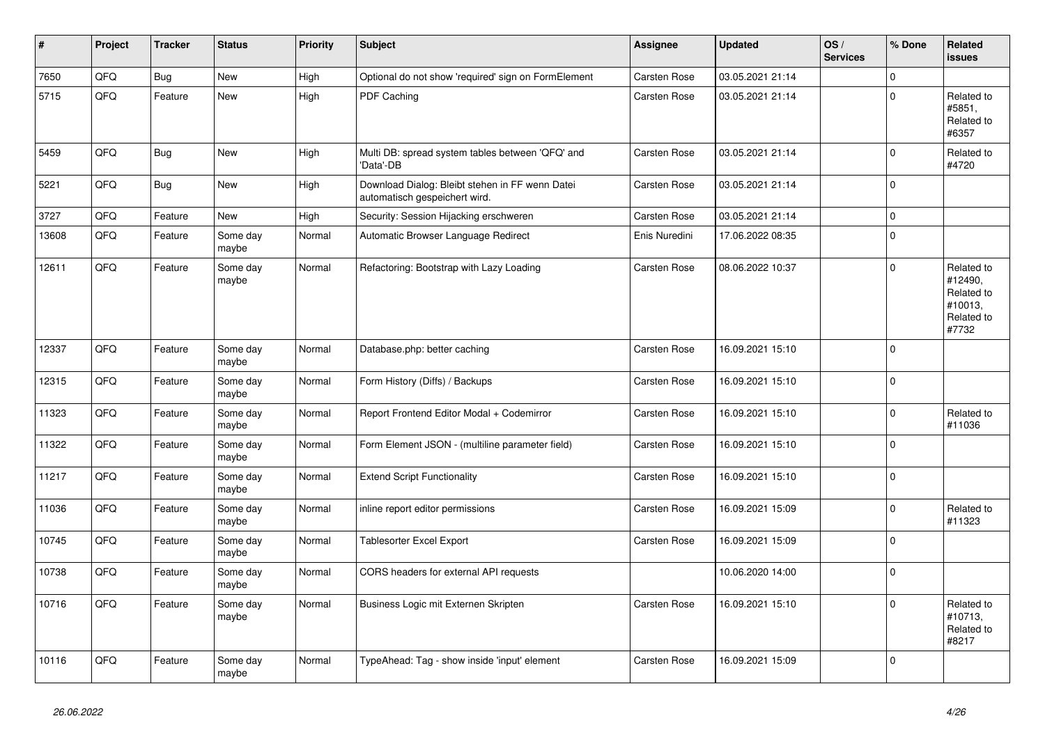| #     | <b>Project</b> | <b>Tracker</b> | <b>Status</b>     | <b>Priority</b> | <b>Subject</b>                                                                   | Assignee            | <b>Updated</b>   | OS/<br><b>Services</b> | % Done              | Related<br><b>issues</b>                                              |
|-------|----------------|----------------|-------------------|-----------------|----------------------------------------------------------------------------------|---------------------|------------------|------------------------|---------------------|-----------------------------------------------------------------------|
| 7650  | QFQ            | <b>Bug</b>     | <b>New</b>        | High            | Optional do not show 'required' sign on FormElement                              | Carsten Rose        | 03.05.2021 21:14 |                        | $\Omega$            |                                                                       |
| 5715  | QFQ            | Feature        | <b>New</b>        | High            | PDF Caching                                                                      | Carsten Rose        | 03.05.2021 21:14 |                        | $\Omega$            | Related to<br>#5851,<br>Related to<br>#6357                           |
| 5459  | QFQ            | Bug            | <b>New</b>        | High            | Multi DB: spread system tables between 'QFQ' and<br>'Data'-DB                    | Carsten Rose        | 03.05.2021 21:14 |                        | $\mathsf{O}\xspace$ | Related to<br>#4720                                                   |
| 5221  | QFQ            | <b>Bug</b>     | <b>New</b>        | High            | Download Dialog: Bleibt stehen in FF wenn Datei<br>automatisch gespeichert wird. | <b>Carsten Rose</b> | 03.05.2021 21:14 |                        | $\mathbf 0$         |                                                                       |
| 3727  | QFQ            | Feature        | <b>New</b>        | High            | Security: Session Hijacking erschweren                                           | <b>Carsten Rose</b> | 03.05.2021 21:14 |                        | $\mathbf 0$         |                                                                       |
| 13608 | QFQ            | Feature        | Some day<br>maybe | Normal          | Automatic Browser Language Redirect                                              | Enis Nuredini       | 17.06.2022 08:35 |                        | $\mathbf 0$         |                                                                       |
| 12611 | QFQ            | Feature        | Some day<br>maybe | Normal          | Refactoring: Bootstrap with Lazy Loading                                         | <b>Carsten Rose</b> | 08.06.2022 10:37 |                        | $\mathbf 0$         | Related to<br>#12490,<br>Related to<br>#10013,<br>Related to<br>#7732 |
| 12337 | QFQ            | Feature        | Some day<br>maybe | Normal          | Database.php: better caching                                                     | Carsten Rose        | 16.09.2021 15:10 |                        | $\pmb{0}$           |                                                                       |
| 12315 | QFQ            | Feature        | Some day<br>maybe | Normal          | Form History (Diffs) / Backups                                                   | Carsten Rose        | 16.09.2021 15:10 |                        | $\mathsf 0$         |                                                                       |
| 11323 | QFQ            | Feature        | Some day<br>maybe | Normal          | Report Frontend Editor Modal + Codemirror                                        | Carsten Rose        | 16.09.2021 15:10 |                        | $\mathbf 0$         | Related to<br>#11036                                                  |
| 11322 | QFQ            | Feature        | Some day<br>maybe | Normal          | Form Element JSON - (multiline parameter field)                                  | <b>Carsten Rose</b> | 16.09.2021 15:10 |                        | $\mathbf 0$         |                                                                       |
| 11217 | QFQ            | Feature        | Some day<br>maybe | Normal          | <b>Extend Script Functionality</b>                                               | <b>Carsten Rose</b> | 16.09.2021 15:10 |                        | $\mathbf 0$         |                                                                       |
| 11036 | QFQ            | Feature        | Some day<br>maybe | Normal          | inline report editor permissions                                                 | <b>Carsten Rose</b> | 16.09.2021 15:09 |                        | $\mathbf 0$         | Related to<br>#11323                                                  |
| 10745 | QFQ            | Feature        | Some day<br>maybe | Normal          | Tablesorter Excel Export                                                         | Carsten Rose        | 16.09.2021 15:09 |                        | $\pmb{0}$           |                                                                       |
| 10738 | QFQ            | Feature        | Some day<br>maybe | Normal          | CORS headers for external API requests                                           |                     | 10.06.2020 14:00 |                        | $\Omega$            |                                                                       |
| 10716 | QFQ            | Feature        | Some day<br>maybe | Normal          | Business Logic mit Externen Skripten                                             | <b>Carsten Rose</b> | 16.09.2021 15:10 |                        | $\mathbf 0$         | Related to<br>#10713.<br>Related to<br>#8217                          |
| 10116 | QFQ            | Feature        | Some day<br>maybe | Normal          | TypeAhead: Tag - show inside 'input' element                                     | <b>Carsten Rose</b> | 16.09.2021 15:09 |                        | $\mathbf 0$         |                                                                       |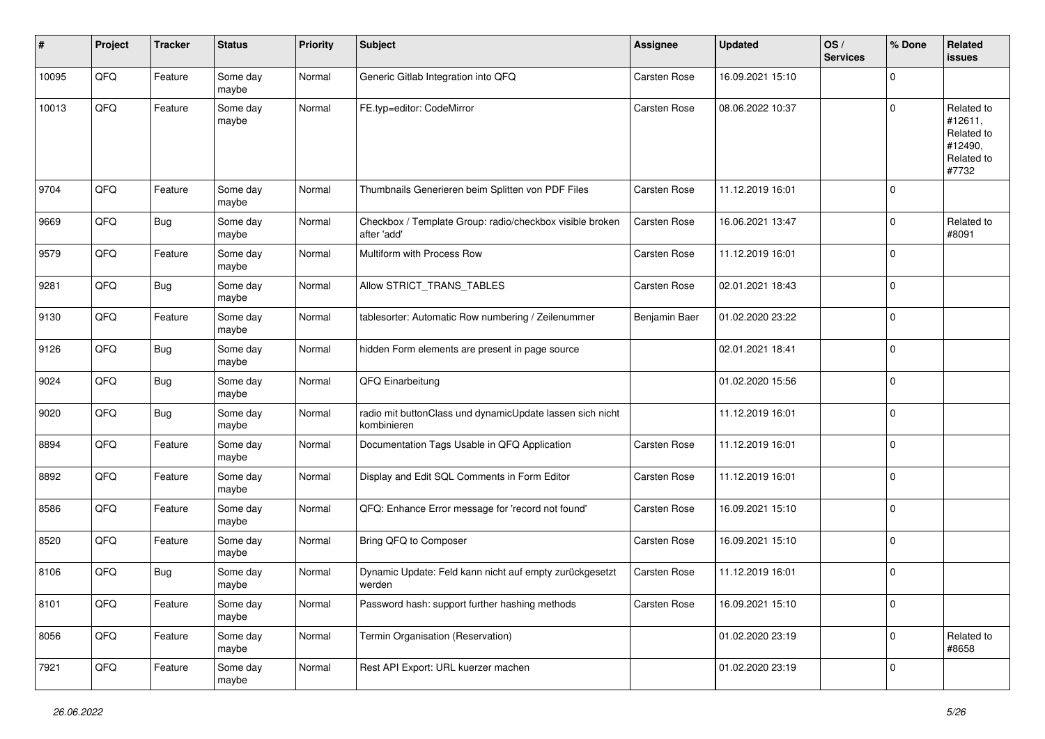| #     | Project | <b>Tracker</b> | <b>Status</b>     | <b>Priority</b> | Subject                                                                  | <b>Assignee</b>     | <b>Updated</b>   | OS/<br><b>Services</b> | % Done      | Related<br><b>issues</b>                                              |
|-------|---------|----------------|-------------------|-----------------|--------------------------------------------------------------------------|---------------------|------------------|------------------------|-------------|-----------------------------------------------------------------------|
| 10095 | QFQ     | Feature        | Some day<br>maybe | Normal          | Generic Gitlab Integration into QFQ                                      | Carsten Rose        | 16.09.2021 15:10 |                        | $\mathbf 0$ |                                                                       |
| 10013 | QFQ     | Feature        | Some day<br>maybe | Normal          | FE.typ=editor: CodeMirror                                                | Carsten Rose        | 08.06.2022 10:37 |                        | $\mathbf 0$ | Related to<br>#12611,<br>Related to<br>#12490,<br>Related to<br>#7732 |
| 9704  | QFQ     | Feature        | Some day<br>maybe | Normal          | Thumbnails Generieren beim Splitten von PDF Files                        | <b>Carsten Rose</b> | 11.12.2019 16:01 |                        | $\mathbf 0$ |                                                                       |
| 9669  | QFQ     | <b>Bug</b>     | Some day<br>maybe | Normal          | Checkbox / Template Group: radio/checkbox visible broken<br>after 'add'  | Carsten Rose        | 16.06.2021 13:47 |                        | $\mathbf 0$ | Related to<br>#8091                                                   |
| 9579  | QFQ     | Feature        | Some day<br>maybe | Normal          | Multiform with Process Row                                               | Carsten Rose        | 11.12.2019 16:01 |                        | $\mathbf 0$ |                                                                       |
| 9281  | QFQ     | <b>Bug</b>     | Some day<br>maybe | Normal          | Allow STRICT_TRANS_TABLES                                                | Carsten Rose        | 02.01.2021 18:43 |                        | $\mathbf 0$ |                                                                       |
| 9130  | QFQ     | Feature        | Some day<br>maybe | Normal          | tablesorter: Automatic Row numbering / Zeilenummer                       | Benjamin Baer       | 01.02.2020 23:22 |                        | $\mathbf 0$ |                                                                       |
| 9126  | QFQ     | <b>Bug</b>     | Some day<br>maybe | Normal          | hidden Form elements are present in page source                          |                     | 02.01.2021 18:41 |                        | $\mathbf 0$ |                                                                       |
| 9024  | QFQ     | <b>Bug</b>     | Some day<br>maybe | Normal          | QFQ Einarbeitung                                                         |                     | 01.02.2020 15:56 |                        | $\mathbf 0$ |                                                                       |
| 9020  | QFQ     | <b>Bug</b>     | Some day<br>maybe | Normal          | radio mit buttonClass und dynamicUpdate lassen sich nicht<br>kombinieren |                     | 11.12.2019 16:01 |                        | $\mathbf 0$ |                                                                       |
| 8894  | QFQ     | Feature        | Some day<br>maybe | Normal          | Documentation Tags Usable in QFQ Application                             | Carsten Rose        | 11.12.2019 16:01 |                        | $\mathbf 0$ |                                                                       |
| 8892  | QFQ     | Feature        | Some day<br>maybe | Normal          | Display and Edit SQL Comments in Form Editor                             | Carsten Rose        | 11.12.2019 16:01 |                        | $\mathbf 0$ |                                                                       |
| 8586  | QFQ     | Feature        | Some day<br>maybe | Normal          | QFQ: Enhance Error message for 'record not found'                        | Carsten Rose        | 16.09.2021 15:10 |                        | $\mathbf 0$ |                                                                       |
| 8520  | QFQ     | Feature        | Some day<br>maybe | Normal          | Bring QFQ to Composer                                                    | Carsten Rose        | 16.09.2021 15:10 |                        | $\mathbf 0$ |                                                                       |
| 8106  | QFQ     | <b>Bug</b>     | Some day<br>maybe | Normal          | Dynamic Update: Feld kann nicht auf empty zurückgesetzt<br>werden        | Carsten Rose        | 11.12.2019 16:01 |                        | $\mathbf 0$ |                                                                       |
| 8101  | QFQ     | Feature        | Some day<br>maybe | Normal          | Password hash: support further hashing methods                           | Carsten Rose        | 16.09.2021 15:10 |                        | $\mathbf 0$ |                                                                       |
| 8056  | QFQ     | Feature        | Some day<br>maybe | Normal          | Termin Organisation (Reservation)                                        |                     | 01.02.2020 23:19 |                        | $\mathbf 0$ | Related to<br>#8658                                                   |
| 7921  | QFQ     | Feature        | Some day<br>maybe | Normal          | Rest API Export: URL kuerzer machen                                      |                     | 01.02.2020 23:19 |                        | $\mathbf 0$ |                                                                       |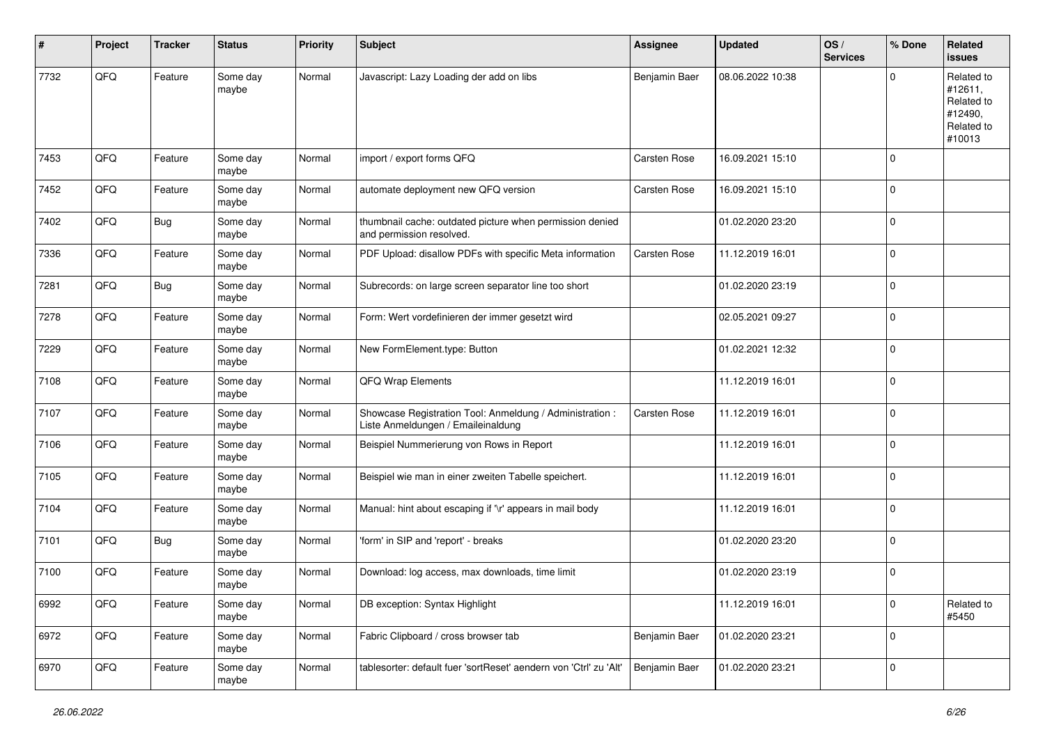| #    | Project | <b>Tracker</b> | <b>Status</b>     | <b>Priority</b> | Subject                                                                                        | <b>Assignee</b>     | <b>Updated</b>   | OS/<br><b>Services</b> | % Done      | Related<br><b>issues</b>                                               |
|------|---------|----------------|-------------------|-----------------|------------------------------------------------------------------------------------------------|---------------------|------------------|------------------------|-------------|------------------------------------------------------------------------|
| 7732 | QFQ     | Feature        | Some day<br>maybe | Normal          | Javascript: Lazy Loading der add on libs                                                       | Benjamin Baer       | 08.06.2022 10:38 |                        | $\Omega$    | Related to<br>#12611,<br>Related to<br>#12490,<br>Related to<br>#10013 |
| 7453 | QFQ     | Feature        | Some day<br>maybe | Normal          | import / export forms QFQ                                                                      | <b>Carsten Rose</b> | 16.09.2021 15:10 |                        | $\Omega$    |                                                                        |
| 7452 | QFQ     | Feature        | Some day<br>maybe | Normal          | automate deployment new QFQ version                                                            | <b>Carsten Rose</b> | 16.09.2021 15:10 |                        | l 0         |                                                                        |
| 7402 | QFQ     | Bug            | Some day<br>maybe | Normal          | thumbnail cache: outdated picture when permission denied<br>and permission resolved.           |                     | 01.02.2020 23:20 |                        | $\Omega$    |                                                                        |
| 7336 | QFQ     | Feature        | Some day<br>maybe | Normal          | PDF Upload: disallow PDFs with specific Meta information                                       | Carsten Rose        | 11.12.2019 16:01 |                        | l 0         |                                                                        |
| 7281 | QFQ     | Bug            | Some day<br>maybe | Normal          | Subrecords: on large screen separator line too short                                           |                     | 01.02.2020 23:19 |                        | 0           |                                                                        |
| 7278 | QFQ     | Feature        | Some day<br>maybe | Normal          | Form: Wert vordefinieren der immer gesetzt wird                                                |                     | 02.05.2021 09:27 |                        | l 0         |                                                                        |
| 7229 | QFQ     | Feature        | Some day<br>maybe | Normal          | New FormElement.type: Button                                                                   |                     | 01.02.2021 12:32 |                        | $\mathbf 0$ |                                                                        |
| 7108 | QFQ     | Feature        | Some day<br>maybe | Normal          | QFQ Wrap Elements                                                                              |                     | 11.12.2019 16:01 |                        | $\mathbf 0$ |                                                                        |
| 7107 | QFQ     | Feature        | Some day<br>maybe | Normal          | Showcase Registration Tool: Anmeldung / Administration :<br>Liste Anmeldungen / Emaileinaldung | <b>Carsten Rose</b> | 11.12.2019 16:01 |                        | $\mathbf 0$ |                                                                        |
| 7106 | QFQ     | Feature        | Some day<br>maybe | Normal          | Beispiel Nummerierung von Rows in Report                                                       |                     | 11.12.2019 16:01 |                        | $\Omega$    |                                                                        |
| 7105 | QFQ     | Feature        | Some day<br>maybe | Normal          | Beispiel wie man in einer zweiten Tabelle speichert.                                           |                     | 11.12.2019 16:01 |                        | l 0         |                                                                        |
| 7104 | QFQ     | Feature        | Some day<br>maybe | Normal          | Manual: hint about escaping if '\r' appears in mail body                                       |                     | 11.12.2019 16:01 |                        | 0           |                                                                        |
| 7101 | QFQ     | <b>Bug</b>     | Some day<br>maybe | Normal          | 'form' in SIP and 'report' - breaks                                                            |                     | 01.02.2020 23:20 |                        | 0           |                                                                        |
| 7100 | QFQ     | Feature        | Some day<br>maybe | Normal          | Download: log access, max downloads, time limit                                                |                     | 01.02.2020 23:19 |                        | $\Omega$    |                                                                        |
| 6992 | QFQ     | Feature        | Some day<br>maybe | Normal          | DB exception: Syntax Highlight                                                                 |                     | 11.12.2019 16:01 |                        | 0           | Related to<br>#5450                                                    |
| 6972 | QFQ     | Feature        | Some day<br>maybe | Normal          | Fabric Clipboard / cross browser tab                                                           | Benjamin Baer       | 01.02.2020 23:21 |                        | 0           |                                                                        |
| 6970 | QFQ     | Feature        | Some day<br>maybe | Normal          | tablesorter: default fuer 'sortReset' aendern von 'Ctrl' zu 'Alt'                              | Benjamin Baer       | 01.02.2020 23:21 |                        | $\mathbf 0$ |                                                                        |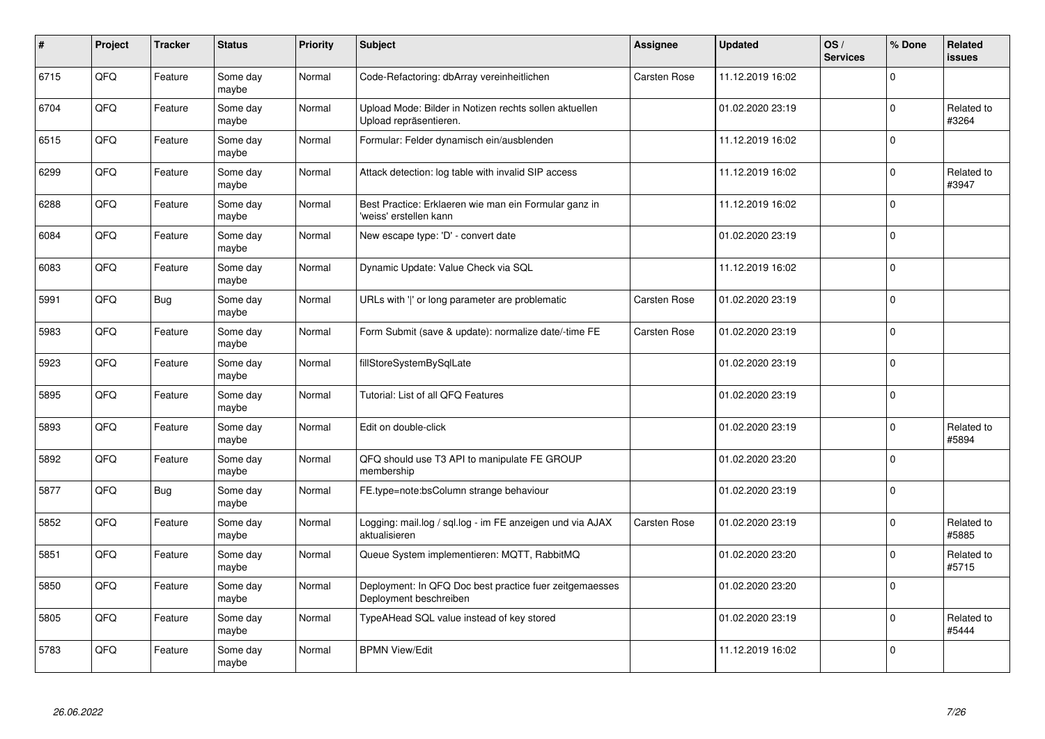| $\pmb{\#}$ | Project | <b>Tracker</b> | <b>Status</b>     | <b>Priority</b> | <b>Subject</b>                                                                    | Assignee     | <b>Updated</b>   | OS/<br><b>Services</b> | % Done      | <b>Related</b><br><b>issues</b> |
|------------|---------|----------------|-------------------|-----------------|-----------------------------------------------------------------------------------|--------------|------------------|------------------------|-------------|---------------------------------|
| 6715       | QFQ     | Feature        | Some day<br>maybe | Normal          | Code-Refactoring: dbArray vereinheitlichen                                        | Carsten Rose | 11.12.2019 16:02 |                        | $\Omega$    |                                 |
| 6704       | QFQ     | Feature        | Some day<br>maybe | Normal          | Upload Mode: Bilder in Notizen rechts sollen aktuellen<br>Upload repräsentieren.  |              | 01.02.2020 23:19 |                        | $\mathbf 0$ | Related to<br>#3264             |
| 6515       | QFQ     | Feature        | Some day<br>maybe | Normal          | Formular: Felder dynamisch ein/ausblenden                                         |              | 11.12.2019 16:02 |                        | $\mathbf 0$ |                                 |
| 6299       | QFQ     | Feature        | Some day<br>maybe | Normal          | Attack detection: log table with invalid SIP access                               |              | 11.12.2019 16:02 |                        | $\Omega$    | Related to<br>#3947             |
| 6288       | QFQ     | Feature        | Some day<br>maybe | Normal          | Best Practice: Erklaeren wie man ein Formular ganz in<br>'weiss' erstellen kann   |              | 11.12.2019 16:02 |                        | $\mathbf 0$ |                                 |
| 6084       | QFQ     | Feature        | Some day<br>maybe | Normal          | New escape type: 'D' - convert date                                               |              | 01.02.2020 23:19 |                        | $\mathbf 0$ |                                 |
| 6083       | QFQ     | Feature        | Some day<br>maybe | Normal          | Dynamic Update: Value Check via SQL                                               |              | 11.12.2019 16:02 |                        | $\mathbf 0$ |                                 |
| 5991       | QFQ     | Bug            | Some day<br>maybe | Normal          | URLs with ' ' or long parameter are problematic                                   | Carsten Rose | 01.02.2020 23:19 |                        | $\Omega$    |                                 |
| 5983       | QFQ     | Feature        | Some day<br>maybe | Normal          | Form Submit (save & update): normalize date/-time FE                              | Carsten Rose | 01.02.2020 23:19 |                        | $\mathbf 0$ |                                 |
| 5923       | QFQ     | Feature        | Some day<br>maybe | Normal          | fillStoreSystemBySqlLate                                                          |              | 01.02.2020 23:19 |                        | $\mathbf 0$ |                                 |
| 5895       | QFQ     | Feature        | Some day<br>maybe | Normal          | Tutorial: List of all QFQ Features                                                |              | 01.02.2020 23:19 |                        | $\mathbf 0$ |                                 |
| 5893       | QFQ     | Feature        | Some day<br>maybe | Normal          | Edit on double-click                                                              |              | 01.02.2020 23:19 |                        | $\Omega$    | Related to<br>#5894             |
| 5892       | QFQ     | Feature        | Some day<br>maybe | Normal          | QFQ should use T3 API to manipulate FE GROUP<br>membership                        |              | 01.02.2020 23:20 |                        | $\mathbf 0$ |                                 |
| 5877       | QFQ     | Bug            | Some day<br>maybe | Normal          | FE.type=note:bsColumn strange behaviour                                           |              | 01.02.2020 23:19 |                        | $\mathbf 0$ |                                 |
| 5852       | QFQ     | Feature        | Some day<br>maybe | Normal          | Logging: mail.log / sql.log - im FE anzeigen und via AJAX<br>aktualisieren        | Carsten Rose | 01.02.2020 23:19 |                        | $\Omega$    | Related to<br>#5885             |
| 5851       | QFQ     | Feature        | Some day<br>maybe | Normal          | Queue System implementieren: MQTT, RabbitMQ                                       |              | 01.02.2020 23:20 |                        | $\mathbf 0$ | Related to<br>#5715             |
| 5850       | QFQ     | Feature        | Some day<br>maybe | Normal          | Deployment: In QFQ Doc best practice fuer zeitgemaesses<br>Deployment beschreiben |              | 01.02.2020 23:20 |                        | $\mathbf 0$ |                                 |
| 5805       | QFQ     | Feature        | Some day<br>maybe | Normal          | TypeAHead SQL value instead of key stored                                         |              | 01.02.2020 23:19 |                        | $\mathbf 0$ | Related to<br>#5444             |
| 5783       | QFQ     | Feature        | Some day<br>maybe | Normal          | <b>BPMN View/Edit</b>                                                             |              | 11.12.2019 16:02 |                        | $\Omega$    |                                 |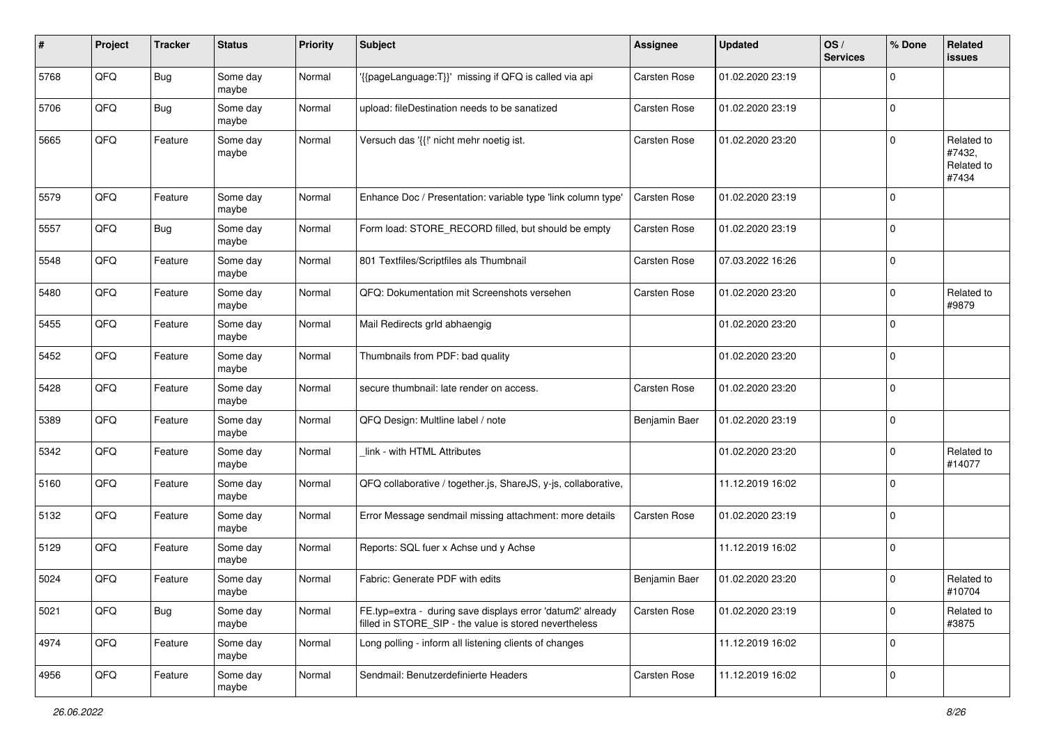| #    | Project | <b>Tracker</b> | <b>Status</b>     | <b>Priority</b> | Subject                                                                                                              | <b>Assignee</b>     | <b>Updated</b>   | OS/<br><b>Services</b> | % Done      | Related<br>issues                           |
|------|---------|----------------|-------------------|-----------------|----------------------------------------------------------------------------------------------------------------------|---------------------|------------------|------------------------|-------------|---------------------------------------------|
| 5768 | QFQ     | <b>Bug</b>     | Some day<br>maybe | Normal          | {{pageLanguage:T}}' missing if QFQ is called via api                                                                 | Carsten Rose        | 01.02.2020 23:19 |                        | $\mathbf 0$ |                                             |
| 5706 | QFQ     | <b>Bug</b>     | Some day<br>maybe | Normal          | upload: fileDestination needs to be sanatized                                                                        | Carsten Rose        | 01.02.2020 23:19 |                        | $\mathbf 0$ |                                             |
| 5665 | QFQ     | Feature        | Some day<br>maybe | Normal          | Versuch das '{{!' nicht mehr noetig ist.                                                                             | <b>Carsten Rose</b> | 01.02.2020 23:20 |                        | $\mathbf 0$ | Related to<br>#7432,<br>Related to<br>#7434 |
| 5579 | QFQ     | Feature        | Some day<br>maybe | Normal          | Enhance Doc / Presentation: variable type 'link column type'                                                         | Carsten Rose        | 01.02.2020 23:19 |                        | $\mathbf 0$ |                                             |
| 5557 | QFQ     | <b>Bug</b>     | Some day<br>maybe | Normal          | Form load: STORE_RECORD filled, but should be empty                                                                  | Carsten Rose        | 01.02.2020 23:19 |                        | $\mathbf 0$ |                                             |
| 5548 | QFQ     | Feature        | Some day<br>maybe | Normal          | 801 Textfiles/Scriptfiles als Thumbnail                                                                              | Carsten Rose        | 07.03.2022 16:26 |                        | $\mathbf 0$ |                                             |
| 5480 | QFQ     | Feature        | Some day<br>maybe | Normal          | QFQ: Dokumentation mit Screenshots versehen                                                                          | Carsten Rose        | 01.02.2020 23:20 |                        | $\mathbf 0$ | Related to<br>#9879                         |
| 5455 | QFQ     | Feature        | Some day<br>maybe | Normal          | Mail Redirects grld abhaengig                                                                                        |                     | 01.02.2020 23:20 |                        | $\mathbf 0$ |                                             |
| 5452 | QFQ     | Feature        | Some day<br>maybe | Normal          | Thumbnails from PDF: bad quality                                                                                     |                     | 01.02.2020 23:20 |                        | $\mathbf 0$ |                                             |
| 5428 | QFQ     | Feature        | Some day<br>maybe | Normal          | secure thumbnail: late render on access.                                                                             | Carsten Rose        | 01.02.2020 23:20 |                        | $\mathbf 0$ |                                             |
| 5389 | QFQ     | Feature        | Some day<br>maybe | Normal          | QFQ Design: Multline label / note                                                                                    | Benjamin Baer       | 01.02.2020 23:19 |                        | $\mathbf 0$ |                                             |
| 5342 | QFQ     | Feature        | Some day<br>maybe | Normal          | link - with HTML Attributes                                                                                          |                     | 01.02.2020 23:20 |                        | $\mathbf 0$ | Related to<br>#14077                        |
| 5160 | QFQ     | Feature        | Some day<br>maybe | Normal          | QFQ collaborative / together.js, ShareJS, y-js, collaborative,                                                       |                     | 11.12.2019 16:02 |                        | $\mathbf 0$ |                                             |
| 5132 | QFQ     | Feature        | Some day<br>maybe | Normal          | Error Message sendmail missing attachment: more details                                                              | Carsten Rose        | 01.02.2020 23:19 |                        | $\mathbf 0$ |                                             |
| 5129 | QFQ     | Feature        | Some day<br>maybe | Normal          | Reports: SQL fuer x Achse und y Achse                                                                                |                     | 11.12.2019 16:02 |                        | $\mathbf 0$ |                                             |
| 5024 | QFQ     | Feature        | Some day<br>maybe | Normal          | Fabric: Generate PDF with edits                                                                                      | Benjamin Baer       | 01.02.2020 23:20 |                        | $\mathbf 0$ | Related to<br>#10704                        |
| 5021 | QFQ     | Bug            | Some day<br>maybe | Normal          | FE.typ=extra - during save displays error 'datum2' already<br>filled in STORE_SIP - the value is stored nevertheless | Carsten Rose        | 01.02.2020 23:19 |                        | $\mathbf 0$ | Related to<br>#3875                         |
| 4974 | QFQ     | Feature        | Some day<br>maybe | Normal          | Long polling - inform all listening clients of changes                                                               |                     | 11.12.2019 16:02 |                        | $\mathbf 0$ |                                             |
| 4956 | QFQ     | Feature        | Some day<br>maybe | Normal          | Sendmail: Benutzerdefinierte Headers                                                                                 | Carsten Rose        | 11.12.2019 16:02 |                        | $\mathbf 0$ |                                             |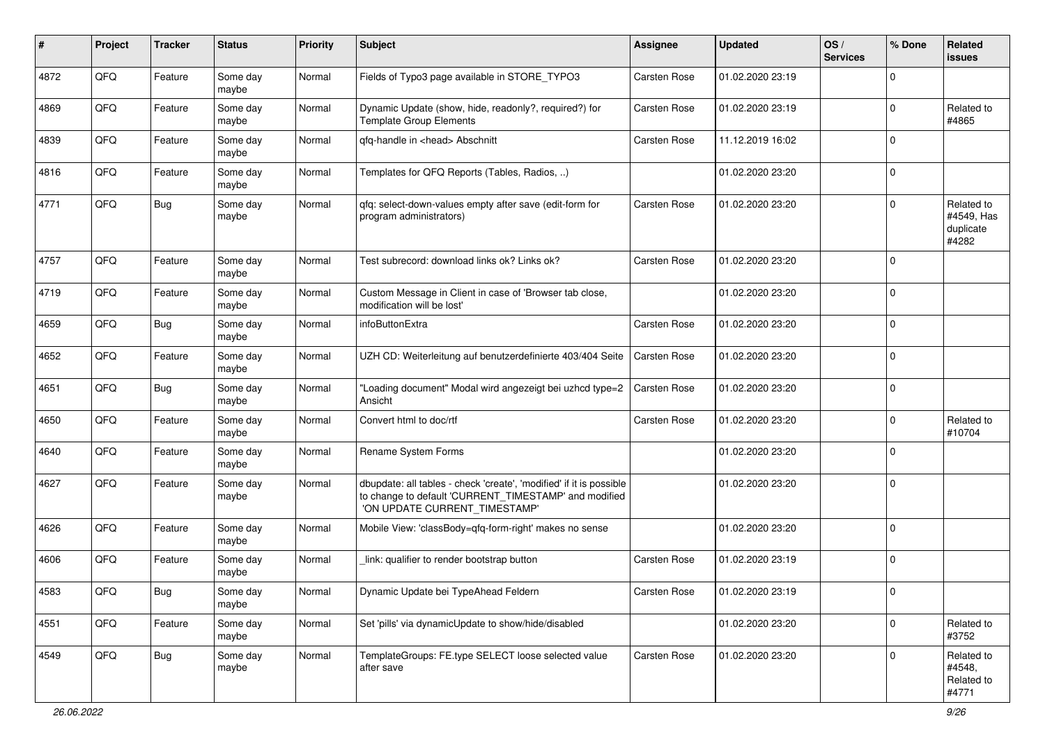| #    | Project | <b>Tracker</b> | <b>Status</b>     | <b>Priority</b> | Subject                                                                                                                                                       | <b>Assignee</b>     | <b>Updated</b>   | OS/<br><b>Services</b> | % Done      | Related<br>issues                              |
|------|---------|----------------|-------------------|-----------------|---------------------------------------------------------------------------------------------------------------------------------------------------------------|---------------------|------------------|------------------------|-------------|------------------------------------------------|
| 4872 | QFQ     | Feature        | Some day<br>maybe | Normal          | Fields of Typo3 page available in STORE_TYPO3                                                                                                                 | Carsten Rose        | 01.02.2020 23:19 |                        | $\Omega$    |                                                |
| 4869 | QFQ     | Feature        | Some day<br>maybe | Normal          | Dynamic Update (show, hide, readonly?, required?) for<br><b>Template Group Elements</b>                                                                       | Carsten Rose        | 01.02.2020 23:19 |                        | $\mathbf 0$ | Related to<br>#4865                            |
| 4839 | QFQ     | Feature        | Some day<br>maybe | Normal          | qfq-handle in <head> Abschnitt</head>                                                                                                                         | <b>Carsten Rose</b> | 11.12.2019 16:02 |                        | $\mathbf 0$ |                                                |
| 4816 | QFQ     | Feature        | Some day<br>maybe | Normal          | Templates for QFQ Reports (Tables, Radios, )                                                                                                                  |                     | 01.02.2020 23:20 |                        | $\mathbf 0$ |                                                |
| 4771 | QFQ     | <b>Bug</b>     | Some day<br>maybe | Normal          | qfq: select-down-values empty after save (edit-form for<br>program administrators)                                                                            | <b>Carsten Rose</b> | 01.02.2020 23:20 |                        | $\Omega$    | Related to<br>#4549, Has<br>duplicate<br>#4282 |
| 4757 | QFQ     | Feature        | Some day<br>maybe | Normal          | Test subrecord: download links ok? Links ok?                                                                                                                  | Carsten Rose        | 01.02.2020 23:20 |                        | $\mathbf 0$ |                                                |
| 4719 | QFQ     | Feature        | Some day<br>maybe | Normal          | Custom Message in Client in case of 'Browser tab close,<br>modification will be lost'                                                                         |                     | 01.02.2020 23:20 |                        | $\mathbf 0$ |                                                |
| 4659 | QFQ     | <b>Bug</b>     | Some day<br>maybe | Normal          | infoButtonExtra                                                                                                                                               | <b>Carsten Rose</b> | 01.02.2020 23:20 |                        | $\mathbf 0$ |                                                |
| 4652 | QFQ     | Feature        | Some day<br>maybe | Normal          | UZH CD: Weiterleitung auf benutzerdefinierte 403/404 Seite                                                                                                    | Carsten Rose        | 01.02.2020 23:20 |                        | $\mathbf 0$ |                                                |
| 4651 | QFQ     | <b>Bug</b>     | Some day<br>maybe | Normal          | 'Loading document" Modal wird angezeigt bei uzhcd type=2<br>Ansicht                                                                                           | <b>Carsten Rose</b> | 01.02.2020 23:20 |                        | $\mathbf 0$ |                                                |
| 4650 | QFQ     | Feature        | Some day<br>maybe | Normal          | Convert html to doc/rtf                                                                                                                                       | Carsten Rose        | 01.02.2020 23:20 |                        | $\mathbf 0$ | Related to<br>#10704                           |
| 4640 | QFQ     | Feature        | Some day<br>maybe | Normal          | Rename System Forms                                                                                                                                           |                     | 01.02.2020 23:20 |                        | $\Omega$    |                                                |
| 4627 | QFQ     | Feature        | Some day<br>maybe | Normal          | dbupdate: all tables - check 'create', 'modified' if it is possible<br>to change to default 'CURRENT_TIMESTAMP' and modified<br>'ON UPDATE CURRENT_TIMESTAMP' |                     | 01.02.2020 23:20 |                        | $\mathbf 0$ |                                                |
| 4626 | QFQ     | Feature        | Some day<br>maybe | Normal          | Mobile View: 'classBody=qfq-form-right' makes no sense                                                                                                        |                     | 01.02.2020 23:20 |                        | $\Omega$    |                                                |
| 4606 | QFQ     | Feature        | Some day<br>maybe | Normal          | link: qualifier to render bootstrap button                                                                                                                    | Carsten Rose        | 01.02.2020 23:19 |                        | $\Omega$    |                                                |
| 4583 | QFQ     | <b>Bug</b>     | Some day<br>maybe | Normal          | Dynamic Update bei TypeAhead Feldern                                                                                                                          | Carsten Rose        | 01.02.2020 23:19 |                        | $\pmb{0}$   |                                                |
| 4551 | QFQ     | Feature        | Some day<br>maybe | Normal          | Set 'pills' via dynamicUpdate to show/hide/disabled                                                                                                           |                     | 01.02.2020 23:20 |                        | $\mathbf 0$ | Related to<br>#3752                            |
| 4549 | QFQ     | <b>Bug</b>     | Some day<br>maybe | Normal          | TemplateGroups: FE.type SELECT loose selected value<br>after save                                                                                             | Carsten Rose        | 01.02.2020 23:20 |                        | $\mathbf 0$ | Related to<br>#4548,<br>Related to<br>#4771    |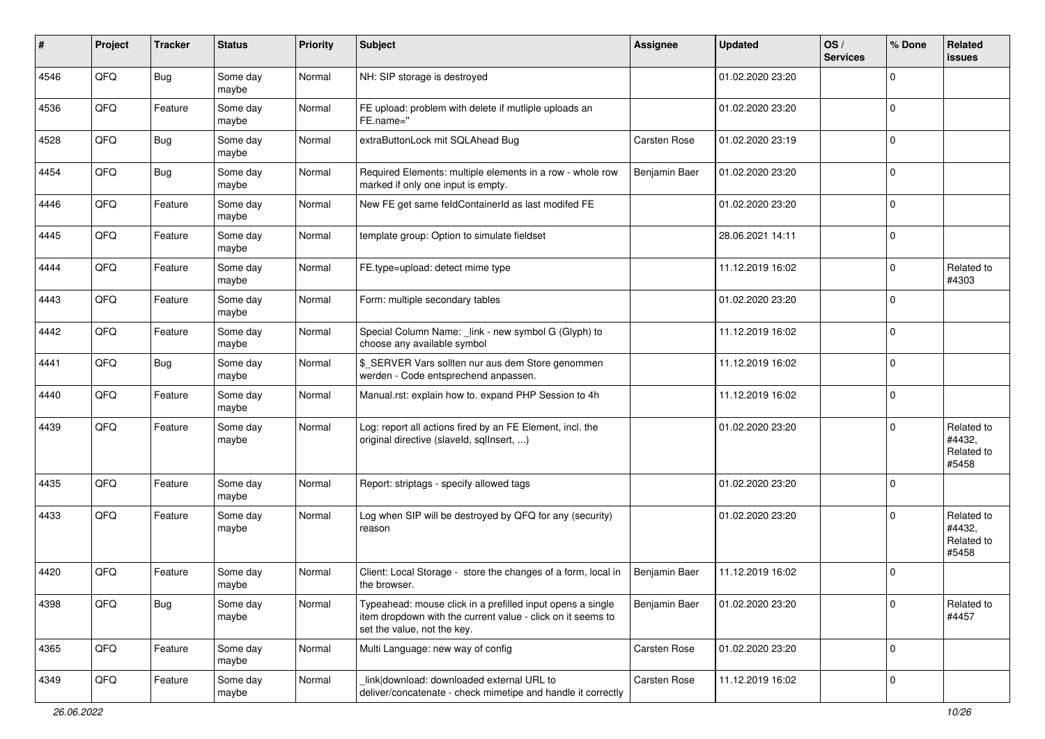| #    | Project | <b>Tracker</b> | <b>Status</b>     | Priority | Subject                                                                                                                                                  | <b>Assignee</b>     | <b>Updated</b>   | OS/<br><b>Services</b> | % Done       | Related<br><b>issues</b>                    |
|------|---------|----------------|-------------------|----------|----------------------------------------------------------------------------------------------------------------------------------------------------------|---------------------|------------------|------------------------|--------------|---------------------------------------------|
| 4546 | QFQ     | <b>Bug</b>     | Some day<br>maybe | Normal   | NH: SIP storage is destroyed                                                                                                                             |                     | 01.02.2020 23:20 |                        | $\Omega$     |                                             |
| 4536 | QFQ     | Feature        | Some day<br>maybe | Normal   | FE upload: problem with delete if mutliple uploads an<br>FE.name="                                                                                       |                     | 01.02.2020 23:20 |                        | l 0          |                                             |
| 4528 | QFQ     | <b>Bug</b>     | Some day<br>maybe | Normal   | extraButtonLock mit SQLAhead Bug                                                                                                                         | <b>Carsten Rose</b> | 01.02.2020 23:19 |                        | $\Omega$     |                                             |
| 4454 | QFQ     | Bug            | Some day<br>maybe | Normal   | Required Elements: multiple elements in a row - whole row<br>marked if only one input is empty.                                                          | Benjamin Baer       | 01.02.2020 23:20 |                        | $\mathbf 0$  |                                             |
| 4446 | QFQ     | Feature        | Some day<br>maybe | Normal   | New FE get same feldContainerId as last modifed FE                                                                                                       |                     | 01.02.2020 23:20 |                        | $\mathbf 0$  |                                             |
| 4445 | QFQ     | Feature        | Some day<br>maybe | Normal   | template group: Option to simulate fieldset                                                                                                              |                     | 28.06.2021 14:11 |                        | $\Omega$     |                                             |
| 4444 | QFQ     | Feature        | Some day<br>maybe | Normal   | FE.type=upload: detect mime type                                                                                                                         |                     | 11.12.2019 16:02 |                        | $\mathbf{0}$ | Related to<br>#4303                         |
| 4443 | QFQ     | Feature        | Some day<br>maybe | Normal   | Form: multiple secondary tables                                                                                                                          |                     | 01.02.2020 23:20 |                        | $\Omega$     |                                             |
| 4442 | QFQ     | Feature        | Some day<br>maybe | Normal   | Special Column Name: _link - new symbol G (Glyph) to<br>choose any available symbol                                                                      |                     | 11.12.2019 16:02 |                        | l 0          |                                             |
| 4441 | QFQ     | Bug            | Some day<br>maybe | Normal   | \$_SERVER Vars sollten nur aus dem Store genommen<br>werden - Code entsprechend anpassen.                                                                |                     | 11.12.2019 16:02 |                        | $\mathbf{0}$ |                                             |
| 4440 | QFQ     | Feature        | Some day<br>maybe | Normal   | Manual.rst: explain how to. expand PHP Session to 4h                                                                                                     |                     | 11.12.2019 16:02 |                        | l 0          |                                             |
| 4439 | QFQ     | Feature        | Some day<br>maybe | Normal   | Log: report all actions fired by an FE Element, incl. the<br>original directive (slaveld, sqllnsert, )                                                   |                     | 01.02.2020 23:20 |                        | $\Omega$     | Related to<br>#4432,<br>Related to<br>#5458 |
| 4435 | QFQ     | Feature        | Some day<br>maybe | Normal   | Report: striptags - specify allowed tags                                                                                                                 |                     | 01.02.2020 23:20 |                        | $\Omega$     |                                             |
| 4433 | QFQ     | Feature        | Some day<br>maybe | Normal   | Log when SIP will be destroyed by QFQ for any (security)<br>reason                                                                                       |                     | 01.02.2020 23:20 |                        | $\Omega$     | Related to<br>#4432,<br>Related to<br>#5458 |
| 4420 | QFQ     | Feature        | Some day<br>maybe | Normal   | Client: Local Storage - store the changes of a form, local in<br>the browser.                                                                            | Benjamin Baer       | 11.12.2019 16:02 |                        | $\Omega$     |                                             |
| 4398 | QFG     | <b>Bug</b>     | Some day<br>maybe | Normal   | Typeahead: mouse click in a prefilled input opens a single<br>item dropdown with the current value - click on it seems to<br>set the value, not the key. | Benjamin Baer       | 01.02.2020 23:20 |                        | 0            | Related to<br>#4457                         |
| 4365 | QFQ     | Feature        | Some day<br>maybe | Normal   | Multi Language: new way of config                                                                                                                        | Carsten Rose        | 01.02.2020 23:20 |                        | l 0          |                                             |
| 4349 | QFQ     | Feature        | Some day<br>maybe | Normal   | link download: downloaded external URL to<br>deliver/concatenate - check mimetipe and handle it correctly                                                | Carsten Rose        | 11.12.2019 16:02 |                        | 0            |                                             |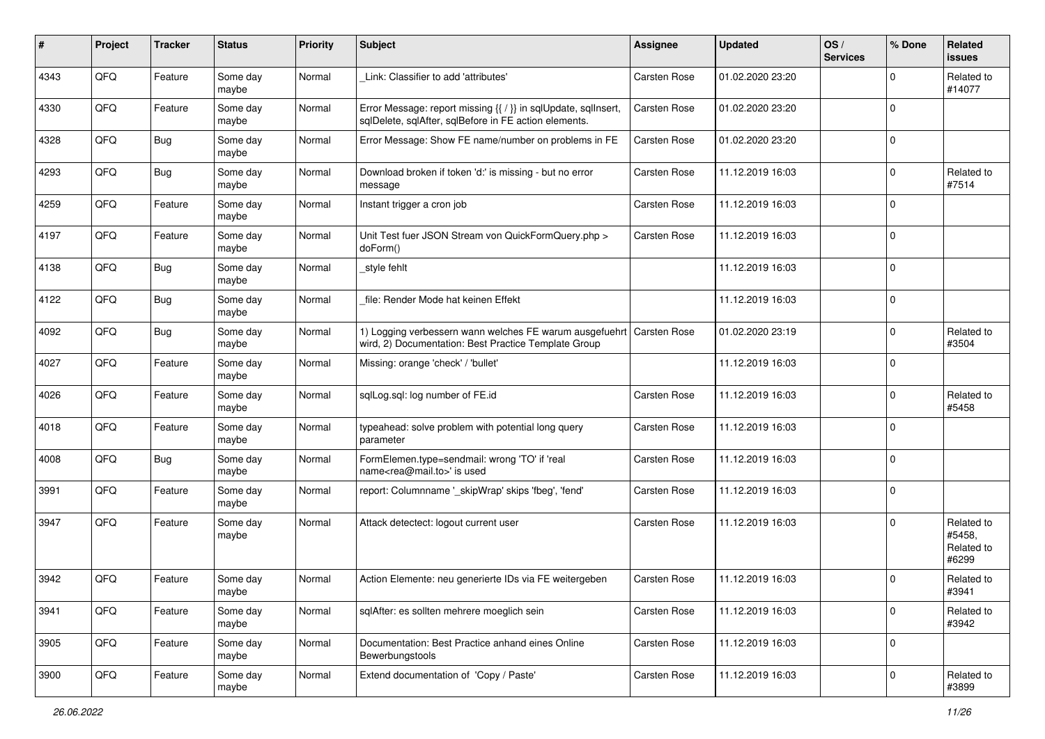| #    | Project | <b>Tracker</b> | <b>Status</b>     | <b>Priority</b> | Subject                                                                                                                 | Assignee            | <b>Updated</b>   | OS/<br><b>Services</b> | % Done      | Related<br>issues                           |
|------|---------|----------------|-------------------|-----------------|-------------------------------------------------------------------------------------------------------------------------|---------------------|------------------|------------------------|-------------|---------------------------------------------|
| 4343 | QFQ     | Feature        | Some day<br>maybe | Normal          | Link: Classifier to add 'attributes'                                                                                    | Carsten Rose        | 01.02.2020 23:20 |                        | $\mathbf 0$ | Related to<br>#14077                        |
| 4330 | QFQ     | Feature        | Some day<br>maybe | Normal          | Error Message: report missing {{ / }} in sqlUpdate, sqlInsert,<br>sqlDelete, sqlAfter, sqlBefore in FE action elements. | Carsten Rose        | 01.02.2020 23:20 |                        | $\mathbf 0$ |                                             |
| 4328 | QFQ     | <b>Bug</b>     | Some day<br>maybe | Normal          | Error Message: Show FE name/number on problems in FE                                                                    | <b>Carsten Rose</b> | 01.02.2020 23:20 |                        | $\mathbf 0$ |                                             |
| 4293 | QFQ     | <b>Bug</b>     | Some day<br>maybe | Normal          | Download broken if token 'd:' is missing - but no error<br>message                                                      | Carsten Rose        | 11.12.2019 16:03 |                        | $\mathbf 0$ | Related to<br>#7514                         |
| 4259 | QFQ     | Feature        | Some day<br>maybe | Normal          | Instant trigger a cron job                                                                                              | Carsten Rose        | 11.12.2019 16:03 |                        | $\mathbf 0$ |                                             |
| 4197 | QFQ     | Feature        | Some day<br>maybe | Normal          | Unit Test fuer JSON Stream von QuickFormQuery.php ><br>doForm()                                                         | Carsten Rose        | 11.12.2019 16:03 |                        | $\mathbf 0$ |                                             |
| 4138 | QFQ     | <b>Bug</b>     | Some day<br>maybe | Normal          | style fehlt                                                                                                             |                     | 11.12.2019 16:03 |                        | $\mathbf 0$ |                                             |
| 4122 | QFQ     | Bug            | Some day<br>maybe | Normal          | file: Render Mode hat keinen Effekt                                                                                     |                     | 11.12.2019 16:03 |                        | $\mathbf 0$ |                                             |
| 4092 | QFQ     | Bug            | Some day<br>maybe | Normal          | 1) Logging verbessern wann welches FE warum ausgefuehrt<br>wird, 2) Documentation: Best Practice Template Group         | <b>Carsten Rose</b> | 01.02.2020 23:19 |                        | $\mathbf 0$ | Related to<br>#3504                         |
| 4027 | QFQ     | Feature        | Some day<br>maybe | Normal          | Missing: orange 'check' / 'bullet'                                                                                      |                     | 11.12.2019 16:03 |                        | $\mathbf 0$ |                                             |
| 4026 | QFQ     | Feature        | Some day<br>maybe | Normal          | sqlLog.sql: log number of FE.id                                                                                         | <b>Carsten Rose</b> | 11.12.2019 16:03 |                        | $\mathbf 0$ | Related to<br>#5458                         |
| 4018 | QFQ     | Feature        | Some day<br>maybe | Normal          | typeahead: solve problem with potential long query<br>parameter                                                         | Carsten Rose        | 11.12.2019 16:03 |                        | $\mathbf 0$ |                                             |
| 4008 | QFQ     | <b>Bug</b>     | Some day<br>maybe | Normal          | FormElemen.type=sendmail: wrong 'TO' if 'real<br>name <rea@mail.to>' is used</rea@mail.to>                              | Carsten Rose        | 11.12.2019 16:03 |                        | $\Omega$    |                                             |
| 3991 | QFQ     | Feature        | Some day<br>maybe | Normal          | report: Columnname '_skipWrap' skips 'fbeg', 'fend'                                                                     | Carsten Rose        | 11.12.2019 16:03 |                        | $\mathbf 0$ |                                             |
| 3947 | QFQ     | Feature        | Some day<br>maybe | Normal          | Attack detectect: logout current user                                                                                   | Carsten Rose        | 11.12.2019 16:03 |                        | $\mathbf 0$ | Related to<br>#5458,<br>Related to<br>#6299 |
| 3942 | QFQ     | Feature        | Some day<br>maybe | Normal          | Action Elemente: neu generierte IDs via FE weitergeben                                                                  | Carsten Rose        | 11.12.2019 16:03 |                        | $\mathbf 0$ | Related to<br>#3941                         |
| 3941 | QFQ     | Feature        | Some day<br>maybe | Normal          | sqlAfter: es sollten mehrere moeglich sein                                                                              | Carsten Rose        | 11.12.2019 16:03 |                        | $\mathbf 0$ | Related to<br>#3942                         |
| 3905 | QFQ     | Feature        | Some day<br>maybe | Normal          | Documentation: Best Practice anhand eines Online<br>Bewerbungstools                                                     | Carsten Rose        | 11.12.2019 16:03 |                        | $\mathbf 0$ |                                             |
| 3900 | QFQ     | Feature        | Some day<br>maybe | Normal          | Extend documentation of 'Copy / Paste'                                                                                  | Carsten Rose        | 11.12.2019 16:03 |                        | $\mathbf 0$ | Related to<br>#3899                         |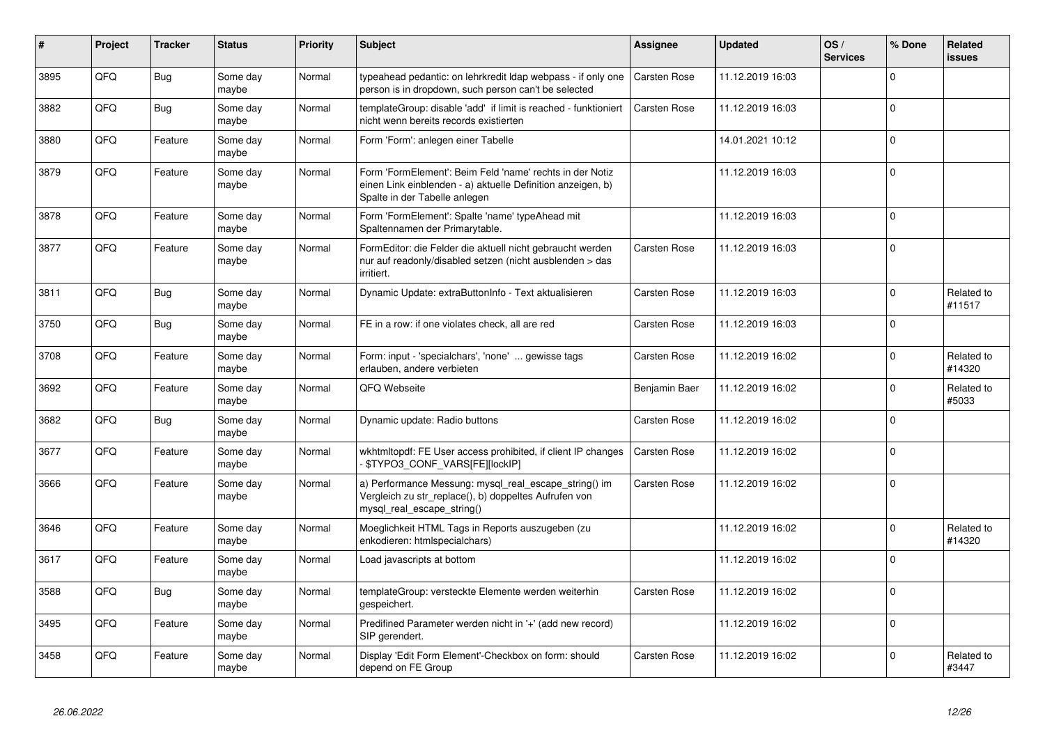| #    | Project | <b>Tracker</b> | <b>Status</b>     | <b>Priority</b> | <b>Subject</b>                                                                                                                                           | <b>Assignee</b>     | <b>Updated</b>   | OS/<br><b>Services</b> | % Done       | Related<br><b>issues</b> |
|------|---------|----------------|-------------------|-----------------|----------------------------------------------------------------------------------------------------------------------------------------------------------|---------------------|------------------|------------------------|--------------|--------------------------|
| 3895 | QFQ     | <b>Bug</b>     | Some day<br>maybe | Normal          | typeahead pedantic: on lehrkredit Idap webpass - if only one<br>person is in dropdown, such person can't be selected                                     | <b>Carsten Rose</b> | 11.12.2019 16:03 |                        | $\Omega$     |                          |
| 3882 | QFQ     | Bug            | Some day<br>maybe | Normal          | templateGroup: disable 'add' if limit is reached - funktioniert<br>nicht wenn bereits records existierten                                                | Carsten Rose        | 11.12.2019 16:03 |                        | $\Omega$     |                          |
| 3880 | QFQ     | Feature        | Some day<br>maybe | Normal          | Form 'Form': anlegen einer Tabelle                                                                                                                       |                     | 14.01.2021 10:12 |                        | $\Omega$     |                          |
| 3879 | QFQ     | Feature        | Some day<br>maybe | Normal          | Form 'FormElement': Beim Feld 'name' rechts in der Notiz<br>einen Link einblenden - a) aktuelle Definition anzeigen, b)<br>Spalte in der Tabelle anlegen |                     | 11.12.2019 16:03 |                        | $\Omega$     |                          |
| 3878 | QFQ     | Feature        | Some day<br>maybe | Normal          | Form 'FormElement': Spalte 'name' typeAhead mit<br>Spaltennamen der Primarytable.                                                                        |                     | 11.12.2019 16:03 |                        | $\Omega$     |                          |
| 3877 | QFQ     | Feature        | Some day<br>maybe | Normal          | FormEditor: die Felder die aktuell nicht gebraucht werden<br>nur auf readonly/disabled setzen (nicht ausblenden > das<br>irritiert.                      | <b>Carsten Rose</b> | 11.12.2019 16:03 |                        | $\Omega$     |                          |
| 3811 | QFQ     | <b>Bug</b>     | Some day<br>maybe | Normal          | Dynamic Update: extraButtonInfo - Text aktualisieren                                                                                                     | <b>Carsten Rose</b> | 11.12.2019 16:03 |                        | $\Omega$     | Related to<br>#11517     |
| 3750 | QFQ     | <b>Bug</b>     | Some day<br>maybe | Normal          | FE in a row: if one violates check, all are red                                                                                                          | <b>Carsten Rose</b> | 11.12.2019 16:03 |                        | $\Omega$     |                          |
| 3708 | QFQ     | Feature        | Some day<br>maybe | Normal          | Form: input - 'specialchars', 'none'  gewisse tags<br>erlauben, andere verbieten                                                                         | <b>Carsten Rose</b> | 11.12.2019 16:02 |                        | $\Omega$     | Related to<br>#14320     |
| 3692 | QFQ     | Feature        | Some day<br>maybe | Normal          | QFQ Webseite                                                                                                                                             | Benjamin Baer       | 11.12.2019 16:02 |                        | $\Omega$     | Related to<br>#5033      |
| 3682 | QFQ     | <b>Bug</b>     | Some day<br>maybe | Normal          | Dynamic update: Radio buttons                                                                                                                            | <b>Carsten Rose</b> | 11.12.2019 16:02 |                        | $\Omega$     |                          |
| 3677 | QFQ     | Feature        | Some day<br>maybe | Normal          | wkhtmitopdf: FE User access prohibited, if client IP changes<br>\$TYPO3_CONF_VARS[FE][lockIP]                                                            | <b>Carsten Rose</b> | 11.12.2019 16:02 |                        | $\Omega$     |                          |
| 3666 | QFQ     | Feature        | Some day<br>maybe | Normal          | a) Performance Messung: mysql_real_escape_string() im<br>Vergleich zu str_replace(), b) doppeltes Aufrufen von<br>mysql real escape string()             | Carsten Rose        | 11.12.2019 16:02 |                        | $\Omega$     |                          |
| 3646 | QFQ     | Feature        | Some day<br>maybe | Normal          | Moeglichkeit HTML Tags in Reports auszugeben (zu<br>enkodieren: htmlspecialchars)                                                                        |                     | 11.12.2019 16:02 |                        | $\Omega$     | Related to<br>#14320     |
| 3617 | QFQ     | Feature        | Some day<br>maybe | Normal          | Load javascripts at bottom                                                                                                                               |                     | 11.12.2019 16:02 |                        | $\Omega$     |                          |
| 3588 | QFQ     | <b>Bug</b>     | Some day<br>maybe | Normal          | templateGroup: versteckte Elemente werden weiterhin<br>gespeichert.                                                                                      | <b>Carsten Rose</b> | 11.12.2019 16:02 |                        | $\Omega$     |                          |
| 3495 | QFQ     | Feature        | Some day<br>maybe | Normal          | Predifined Parameter werden nicht in '+' (add new record)<br>SIP gerendert.                                                                              |                     | 11.12.2019 16:02 |                        | $\Omega$     |                          |
| 3458 | QFQ     | Feature        | Some day<br>maybe | Normal          | Display 'Edit Form Element'-Checkbox on form: should<br>depend on FE Group                                                                               | Carsten Rose        | 11.12.2019 16:02 |                        | <sup>0</sup> | Related to<br>#3447      |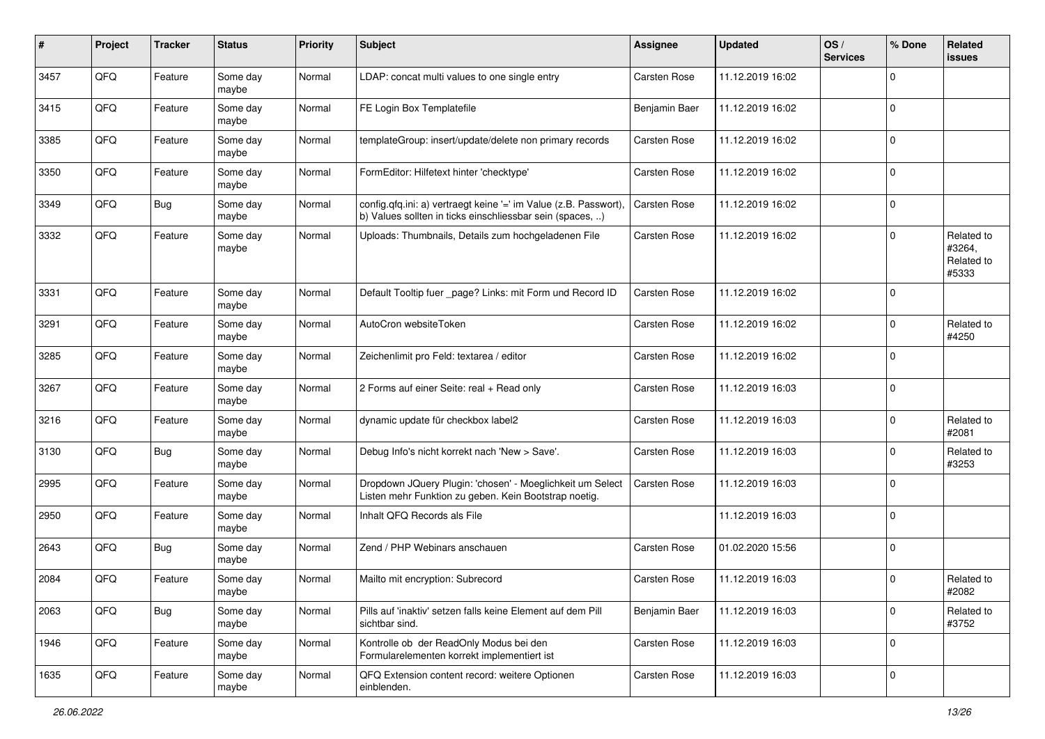| #    | Project | <b>Tracker</b> | <b>Status</b>     | <b>Priority</b> | <b>Subject</b>                                                                                                                | Assignee            | <b>Updated</b>   | OS/<br><b>Services</b> | % Done         | Related<br><b>issues</b>                    |
|------|---------|----------------|-------------------|-----------------|-------------------------------------------------------------------------------------------------------------------------------|---------------------|------------------|------------------------|----------------|---------------------------------------------|
| 3457 | QFQ     | Feature        | Some day<br>maybe | Normal          | LDAP: concat multi values to one single entry                                                                                 | <b>Carsten Rose</b> | 11.12.2019 16:02 |                        | $\mathbf 0$    |                                             |
| 3415 | QFQ     | Feature        | Some day<br>maybe | Normal          | FE Login Box Templatefile                                                                                                     | Benjamin Baer       | 11.12.2019 16:02 |                        | 0              |                                             |
| 3385 | QFQ     | Feature        | Some day<br>maybe | Normal          | templateGroup: insert/update/delete non primary records                                                                       | Carsten Rose        | 11.12.2019 16:02 |                        | $\mathbf 0$    |                                             |
| 3350 | QFQ     | Feature        | Some day<br>maybe | Normal          | FormEditor: Hilfetext hinter 'checktype'                                                                                      | Carsten Rose        | 11.12.2019 16:02 |                        | $\mathbf 0$    |                                             |
| 3349 | QFQ     | <b>Bug</b>     | Some day<br>maybe | Normal          | config.qfq.ini: a) vertraegt keine '=' im Value (z.B. Passwort),<br>b) Values sollten in ticks einschliessbar sein (spaces, ) | <b>Carsten Rose</b> | 11.12.2019 16:02 |                        | $\mathbf 0$    |                                             |
| 3332 | QFQ     | Feature        | Some day<br>maybe | Normal          | Uploads: Thumbnails, Details zum hochgeladenen File                                                                           | Carsten Rose        | 11.12.2019 16:02 |                        | 0              | Related to<br>#3264,<br>Related to<br>#5333 |
| 3331 | QFQ     | Feature        | Some day<br>maybe | Normal          | Default Tooltip fuer _page? Links: mit Form und Record ID                                                                     | Carsten Rose        | 11.12.2019 16:02 |                        | $\mathbf 0$    |                                             |
| 3291 | QFQ     | Feature        | Some day<br>maybe | Normal          | AutoCron websiteToken                                                                                                         | Carsten Rose        | 11.12.2019 16:02 |                        | $\mathbf 0$    | Related to<br>#4250                         |
| 3285 | QFQ     | Feature        | Some day<br>maybe | Normal          | Zeichenlimit pro Feld: textarea / editor                                                                                      | Carsten Rose        | 11.12.2019 16:02 |                        | $\mathbf 0$    |                                             |
| 3267 | QFQ     | Feature        | Some day<br>maybe | Normal          | 2 Forms auf einer Seite: real + Read only                                                                                     | Carsten Rose        | 11.12.2019 16:03 |                        | 0              |                                             |
| 3216 | QFQ     | Feature        | Some day<br>maybe | Normal          | dynamic update für checkbox label2                                                                                            | <b>Carsten Rose</b> | 11.12.2019 16:03 |                        | 0              | Related to<br>#2081                         |
| 3130 | QFQ     | <b>Bug</b>     | Some day<br>maybe | Normal          | Debug Info's nicht korrekt nach 'New > Save'.                                                                                 | Carsten Rose        | 11.12.2019 16:03 |                        | $\mathbf 0$    | Related to<br>#3253                         |
| 2995 | QFQ     | Feature        | Some day<br>maybe | Normal          | Dropdown JQuery Plugin: 'chosen' - Moeglichkeit um Select<br>Listen mehr Funktion zu geben. Kein Bootstrap noetig.            | <b>Carsten Rose</b> | 11.12.2019 16:03 |                        | $\mathbf 0$    |                                             |
| 2950 | QFQ     | Feature        | Some day<br>maybe | Normal          | Inhalt QFQ Records als File                                                                                                   |                     | 11.12.2019 16:03 |                        | $\mathbf 0$    |                                             |
| 2643 | QFQ     | <b>Bug</b>     | Some day<br>maybe | Normal          | Zend / PHP Webinars anschauen                                                                                                 | Carsten Rose        | 01.02.2020 15:56 |                        | 0              |                                             |
| 2084 | QFQ     | Feature        | Some day<br>maybe | Normal          | Mailto mit encryption: Subrecord                                                                                              | Carsten Rose        | 11.12.2019 16:03 |                        | $\mathbf 0$    | Related to<br>#2082                         |
| 2063 | QFQ     | <b>Bug</b>     | Some day<br>maybe | Normal          | Pills auf 'inaktiv' setzen falls keine Element auf dem Pill<br>sichtbar sind.                                                 | Benjamin Baer       | 11.12.2019 16:03 |                        | $\overline{0}$ | Related to<br>#3752                         |
| 1946 | QFQ     | Feature        | Some day<br>maybe | Normal          | Kontrolle ob der ReadOnly Modus bei den<br>Formularelementen korrekt implementiert ist                                        | Carsten Rose        | 11.12.2019 16:03 |                        | $\overline{0}$ |                                             |
| 1635 | QFQ     | Feature        | Some day<br>maybe | Normal          | QFQ Extension content record: weitere Optionen<br>einblenden.                                                                 | Carsten Rose        | 11.12.2019 16:03 |                        | $\overline{0}$ |                                             |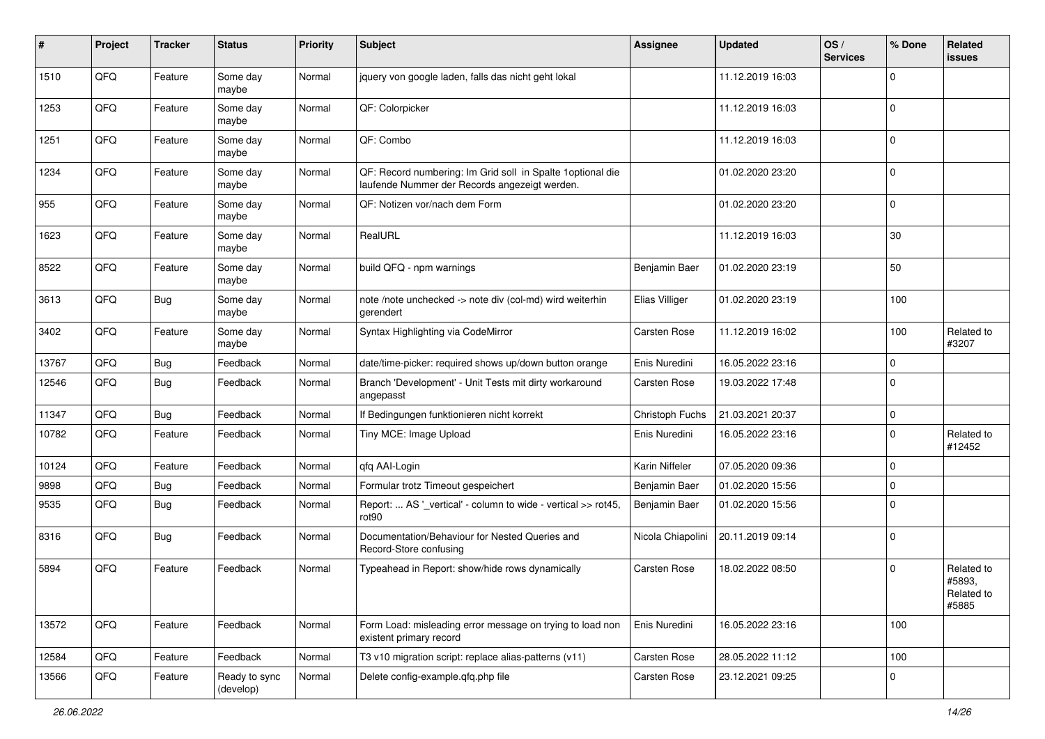| #     | Project | <b>Tracker</b> | <b>Status</b>              | <b>Priority</b> | <b>Subject</b>                                                                                              | <b>Assignee</b>     | <b>Updated</b>   | OS/<br><b>Services</b> | % Done      | Related<br><b>issues</b>                    |
|-------|---------|----------------|----------------------------|-----------------|-------------------------------------------------------------------------------------------------------------|---------------------|------------------|------------------------|-------------|---------------------------------------------|
| 1510  | QFQ     | Feature        | Some day<br>maybe          | Normal          | jquery von google laden, falls das nicht geht lokal                                                         |                     | 11.12.2019 16:03 |                        | $\Omega$    |                                             |
| 1253  | QFQ     | Feature        | Some day<br>maybe          | Normal          | QF: Colorpicker                                                                                             |                     | 11.12.2019 16:03 |                        | l 0         |                                             |
| 1251  | QFQ     | Feature        | Some day<br>maybe          | Normal          | QF: Combo                                                                                                   |                     | 11.12.2019 16:03 |                        | $\Omega$    |                                             |
| 1234  | QFQ     | Feature        | Some day<br>maybe          | Normal          | QF: Record numbering: Im Grid soll in Spalte 1optional die<br>laufende Nummer der Records angezeigt werden. |                     | 01.02.2020 23:20 |                        | $\mathbf 0$ |                                             |
| 955   | QFQ     | Feature        | Some day<br>maybe          | Normal          | QF: Notizen vor/nach dem Form                                                                               |                     | 01.02.2020 23:20 |                        | $\mathbf 0$ |                                             |
| 1623  | QFQ     | Feature        | Some day<br>maybe          | Normal          | RealURL                                                                                                     |                     | 11.12.2019 16:03 |                        | 30          |                                             |
| 8522  | QFQ     | Feature        | Some day<br>maybe          | Normal          | build QFQ - npm warnings                                                                                    | Benjamin Baer       | 01.02.2020 23:19 |                        | 50          |                                             |
| 3613  | QFQ     | <b>Bug</b>     | Some day<br>maybe          | Normal          | note /note unchecked -> note div (col-md) wird weiterhin<br>gerendert                                       | Elias Villiger      | 01.02.2020 23:19 |                        | 100         |                                             |
| 3402  | QFQ     | Feature        | Some day<br>maybe          | Normal          | Syntax Highlighting via CodeMirror                                                                          | Carsten Rose        | 11.12.2019 16:02 |                        | 100         | Related to<br>#3207                         |
| 13767 | QFQ     | Bug            | Feedback                   | Normal          | date/time-picker: required shows up/down button orange                                                      | Enis Nuredini       | 16.05.2022 23:16 |                        | $\mathbf 0$ |                                             |
| 12546 | QFQ     | <b>Bug</b>     | Feedback                   | Normal          | Branch 'Development' - Unit Tests mit dirty workaround<br>angepasst                                         | <b>Carsten Rose</b> | 19.03.2022 17:48 |                        | $\Omega$    |                                             |
| 11347 | QFQ     | <b>Bug</b>     | Feedback                   | Normal          | If Bedingungen funktionieren nicht korrekt                                                                  | Christoph Fuchs     | 21.03.2021 20:37 |                        | $\mathbf 0$ |                                             |
| 10782 | QFQ     | Feature        | Feedback                   | Normal          | Tiny MCE: Image Upload                                                                                      | Enis Nuredini       | 16.05.2022 23:16 |                        | $\mathbf 0$ | Related to<br>#12452                        |
| 10124 | QFQ     | Feature        | Feedback                   | Normal          | qfq AAI-Login                                                                                               | Karin Niffeler      | 07.05.2020 09:36 |                        | $\mathbf 0$ |                                             |
| 9898  | QFQ     | <b>Bug</b>     | Feedback                   | Normal          | Formular trotz Timeout gespeichert                                                                          | Benjamin Baer       | 01.02.2020 15:56 |                        | $\mathbf 0$ |                                             |
| 9535  | QFQ     | <b>Bug</b>     | Feedback                   | Normal          | Report:  AS '_vertical' - column to wide - vertical >> rot45,<br>rot <sub>90</sub>                          | Benjamin Baer       | 01.02.2020 15:56 |                        | $\Omega$    |                                             |
| 8316  | QFQ     | <b>Bug</b>     | Feedback                   | Normal          | Documentation/Behaviour for Nested Queries and<br>Record-Store confusing                                    | Nicola Chiapolini   | 20.11.2019 09:14 |                        | l 0         |                                             |
| 5894  | QFQ     | Feature        | Feedback                   | Normal          | Typeahead in Report: show/hide rows dynamically                                                             | <b>Carsten Rose</b> | 18.02.2022 08:50 |                        | $\mathbf 0$ | Related to<br>#5893,<br>Related to<br>#5885 |
| 13572 | QFQ     | Feature        | Feedback                   | Normal          | Form Load: misleading error message on trying to load non<br>existent primary record                        | Enis Nuredini       | 16.05.2022 23:16 |                        | 100         |                                             |
| 12584 | QFQ     | Feature        | Feedback                   | Normal          | T3 v10 migration script: replace alias-patterns (v11)                                                       | Carsten Rose        | 28.05.2022 11:12 |                        | 100         |                                             |
| 13566 | QFQ     | Feature        | Ready to sync<br>(develop) | Normal          | Delete config-example.qfq.php file                                                                          | Carsten Rose        | 23.12.2021 09:25 |                        | 0           |                                             |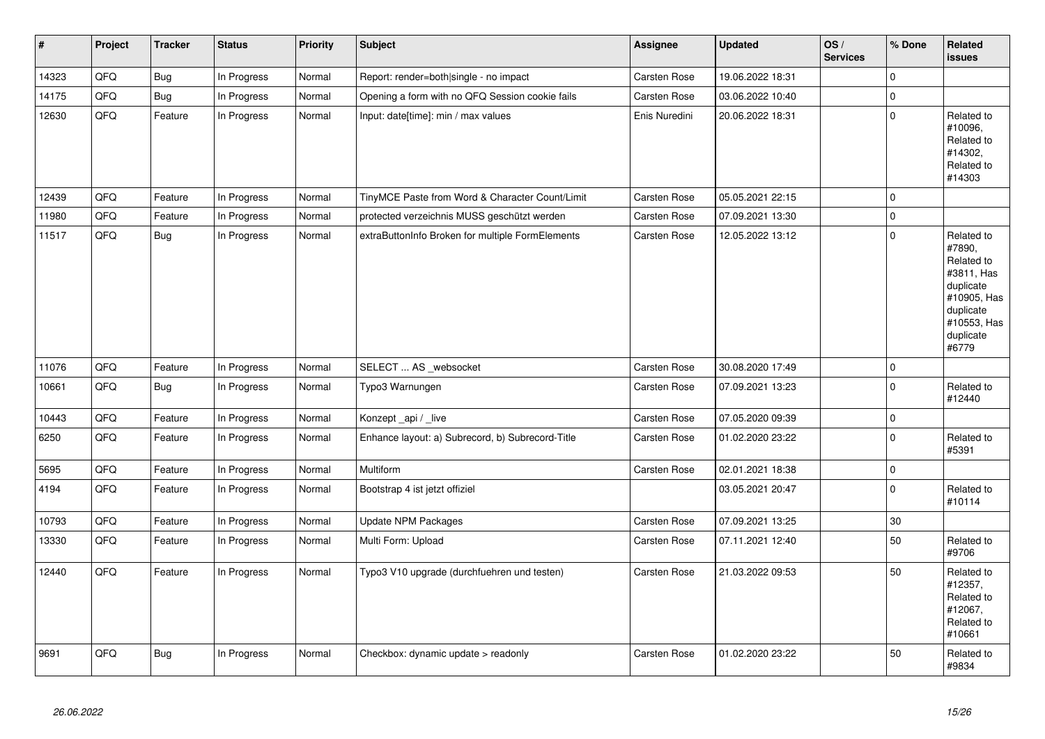| $\vert$ # | Project | <b>Tracker</b> | <b>Status</b> | Priority | <b>Subject</b>                                   | Assignee            | <b>Updated</b>   | OS/<br><b>Services</b> | % Done              | <b>Related</b><br><b>issues</b>                                                                                                |
|-----------|---------|----------------|---------------|----------|--------------------------------------------------|---------------------|------------------|------------------------|---------------------|--------------------------------------------------------------------------------------------------------------------------------|
| 14323     | QFQ     | <b>Bug</b>     | In Progress   | Normal   | Report: render=both single - no impact           | Carsten Rose        | 19.06.2022 18:31 |                        | $\mathbf 0$         |                                                                                                                                |
| 14175     | QFQ     | <b>Bug</b>     | In Progress   | Normal   | Opening a form with no QFQ Session cookie fails  | <b>Carsten Rose</b> | 03.06.2022 10:40 |                        | $\mathbf 0$         |                                                                                                                                |
| 12630     | QFO     | Feature        | In Progress   | Normal   | Input: date[time]: min / max values              | Enis Nuredini       | 20.06.2022 18:31 |                        | $\pmb{0}$           | Related to<br>#10096,<br>Related to<br>#14302.<br>Related to<br>#14303                                                         |
| 12439     | QFQ     | Feature        | In Progress   | Normal   | TinyMCE Paste from Word & Character Count/Limit  | Carsten Rose        | 05.05.2021 22:15 |                        | $\mathbf 0$         |                                                                                                                                |
| 11980     | QFQ     | Feature        | In Progress   | Normal   | protected verzeichnis MUSS geschützt werden      | <b>Carsten Rose</b> | 07.09.2021 13:30 |                        | $\mathsf{O}\xspace$ |                                                                                                                                |
| 11517     | QFQ     | <b>Bug</b>     | In Progress   | Normal   | extraButtonInfo Broken for multiple FormElements | Carsten Rose        | 12.05.2022 13:12 |                        | $\mathbf 0$         | Related to<br>#7890,<br>Related to<br>#3811, Has<br>duplicate<br>#10905, Has<br>duplicate<br>#10553, Has<br>duplicate<br>#6779 |
| 11076     | QFQ     | Feature        | In Progress   | Normal   | SELECT  AS _websocket                            | Carsten Rose        | 30.08.2020 17:49 |                        | $\mathsf{O}\xspace$ |                                                                                                                                |
| 10661     | QFQ     | <b>Bug</b>     | In Progress   | Normal   | Typo3 Warnungen                                  | Carsten Rose        | 07.09.2021 13:23 |                        | $\mathbf 0$         | Related to<br>#12440                                                                                                           |
| 10443     | QFQ     | Feature        | In Progress   | Normal   | Konzept_api / _live                              | Carsten Rose        | 07.05.2020 09:39 |                        | $\mathsf{O}\xspace$ |                                                                                                                                |
| 6250      | QFQ     | Feature        | In Progress   | Normal   | Enhance layout: a) Subrecord, b) Subrecord-Title | <b>Carsten Rose</b> | 01.02.2020 23:22 |                        | $\mathbf 0$         | Related to<br>#5391                                                                                                            |
| 5695      | QFQ     | Feature        | In Progress   | Normal   | Multiform                                        | <b>Carsten Rose</b> | 02.01.2021 18:38 |                        | $\mathsf{O}\xspace$ |                                                                                                                                |
| 4194      | QFQ     | Feature        | In Progress   | Normal   | Bootstrap 4 ist jetzt offiziel                   |                     | 03.05.2021 20:47 |                        | $\mathbf 0$         | Related to<br>#10114                                                                                                           |
| 10793     | QFQ     | Feature        | In Progress   | Normal   | <b>Update NPM Packages</b>                       | Carsten Rose        | 07.09.2021 13:25 |                        | 30                  |                                                                                                                                |
| 13330     | QFQ     | Feature        | In Progress   | Normal   | Multi Form: Upload                               | <b>Carsten Rose</b> | 07.11.2021 12:40 |                        | 50                  | Related to<br>#9706                                                                                                            |
| 12440     | QFQ     | Feature        | In Progress   | Normal   | Typo3 V10 upgrade (durchfuehren und testen)      | Carsten Rose        | 21.03.2022 09:53 |                        | 50                  | Related to<br>#12357,<br>Related to<br>#12067,<br>Related to<br>#10661                                                         |
| 9691      | QFQ     | <b>Bug</b>     | In Progress   | Normal   | Checkbox: dynamic update > readonly              | Carsten Rose        | 01.02.2020 23:22 |                        | 50                  | Related to<br>#9834                                                                                                            |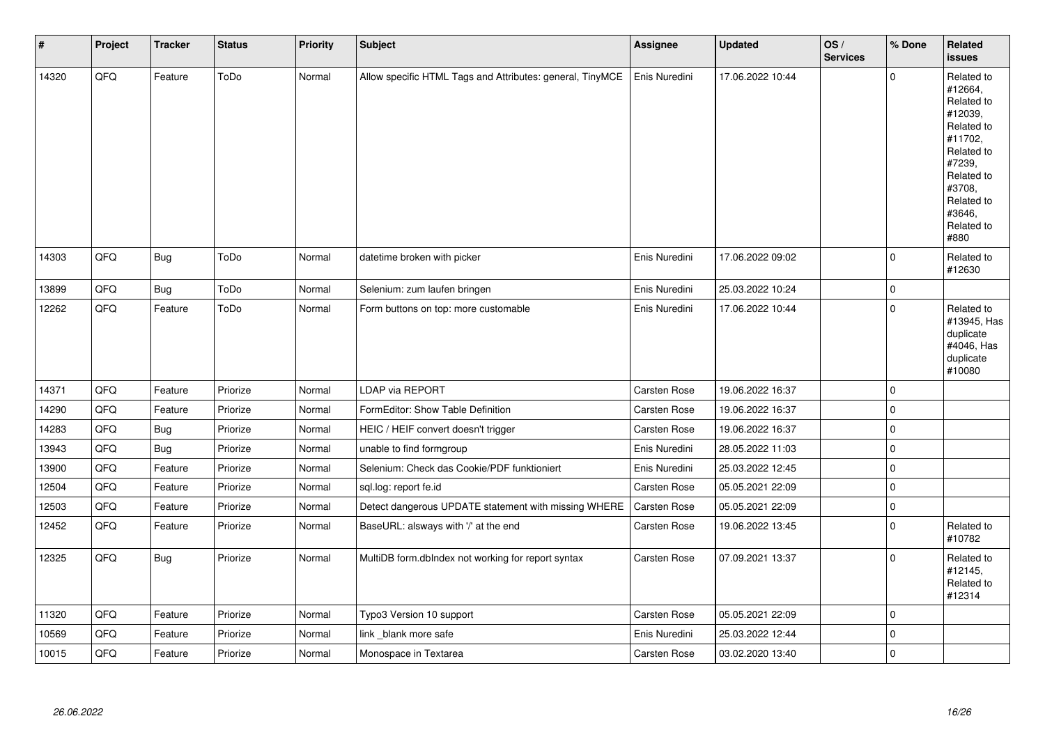| #     | Project | <b>Tracker</b> | <b>Status</b> | <b>Priority</b> | Subject                                                   | <b>Assignee</b>     | <b>Updated</b>   | OS/<br><b>Services</b> | % Done      | Related<br><b>issues</b>                                                                                                                                              |
|-------|---------|----------------|---------------|-----------------|-----------------------------------------------------------|---------------------|------------------|------------------------|-------------|-----------------------------------------------------------------------------------------------------------------------------------------------------------------------|
| 14320 | QFQ     | Feature        | ToDo          | Normal          | Allow specific HTML Tags and Attributes: general, TinyMCE | Enis Nuredini       | 17.06.2022 10:44 |                        | $\mathbf 0$ | Related to<br>#12664,<br>Related to<br>#12039,<br>Related to<br>#11702,<br>Related to<br>#7239,<br>Related to<br>#3708,<br>Related to<br>#3646,<br>Related to<br>#880 |
| 14303 | QFQ     | Bug            | ToDo          | Normal          | datetime broken with picker                               | Enis Nuredini       | 17.06.2022 09:02 |                        | $\mathbf 0$ | Related to<br>#12630                                                                                                                                                  |
| 13899 | QFQ     | <b>Bug</b>     | ToDo          | Normal          | Selenium: zum laufen bringen                              | Enis Nuredini       | 25.03.2022 10:24 |                        | $\mathbf 0$ |                                                                                                                                                                       |
| 12262 | QFQ     | Feature        | ToDo          | Normal          | Form buttons on top: more customable                      | Enis Nuredini       | 17.06.2022 10:44 |                        | $\mathbf 0$ | Related to<br>#13945, Has<br>duplicate<br>#4046, Has<br>duplicate<br>#10080                                                                                           |
| 14371 | QFQ     | Feature        | Priorize      | Normal          | <b>LDAP via REPORT</b>                                    | <b>Carsten Rose</b> | 19.06.2022 16:37 |                        | $\mathbf 0$ |                                                                                                                                                                       |
| 14290 | QFQ     | Feature        | Priorize      | Normal          | FormEditor: Show Table Definition                         | Carsten Rose        | 19.06.2022 16:37 |                        | $\mathbf 0$ |                                                                                                                                                                       |
| 14283 | QFQ     | <b>Bug</b>     | Priorize      | Normal          | HEIC / HEIF convert doesn't trigger                       | Carsten Rose        | 19.06.2022 16:37 |                        | $\mathbf 0$ |                                                                                                                                                                       |
| 13943 | QFQ     | <b>Bug</b>     | Priorize      | Normal          | unable to find formgroup                                  | Enis Nuredini       | 28.05.2022 11:03 |                        | $\pmb{0}$   |                                                                                                                                                                       |
| 13900 | QFQ     | Feature        | Priorize      | Normal          | Selenium: Check das Cookie/PDF funktioniert               | Enis Nuredini       | 25.03.2022 12:45 |                        | $\mathbf 0$ |                                                                                                                                                                       |
| 12504 | QFQ     | Feature        | Priorize      | Normal          | sql.log: report fe.id                                     | <b>Carsten Rose</b> | 05.05.2021 22:09 |                        | $\mathbf 0$ |                                                                                                                                                                       |
| 12503 | QFQ     | Feature        | Priorize      | Normal          | Detect dangerous UPDATE statement with missing WHERE      | Carsten Rose        | 05.05.2021 22:09 |                        | $\mathbf 0$ |                                                                                                                                                                       |
| 12452 | QFQ     | Feature        | Priorize      | Normal          | BaseURL: alsways with '/' at the end                      | Carsten Rose        | 19.06.2022 13:45 |                        | $\mathbf 0$ | Related to<br>#10782                                                                                                                                                  |
| 12325 | QFQ     | <b>Bug</b>     | Priorize      | Normal          | MultiDB form.dbIndex not working for report syntax        | Carsten Rose        | 07.09.2021 13:37 |                        | $\mathbf 0$ | Related to<br>#12145,<br>Related to<br>#12314                                                                                                                         |
| 11320 | QFQ     | Feature        | Priorize      | Normal          | Typo3 Version 10 support                                  | Carsten Rose        | 05.05.2021 22:09 |                        | $\mathbf 0$ |                                                                                                                                                                       |
| 10569 | QFQ     | Feature        | Priorize      | Normal          | link blank more safe                                      | Enis Nuredini       | 25.03.2022 12:44 |                        | $\mathbf 0$ |                                                                                                                                                                       |
| 10015 | QFQ     | Feature        | Priorize      | Normal          | Monospace in Textarea                                     | <b>Carsten Rose</b> | 03.02.2020 13:40 |                        | $\mathbf 0$ |                                                                                                                                                                       |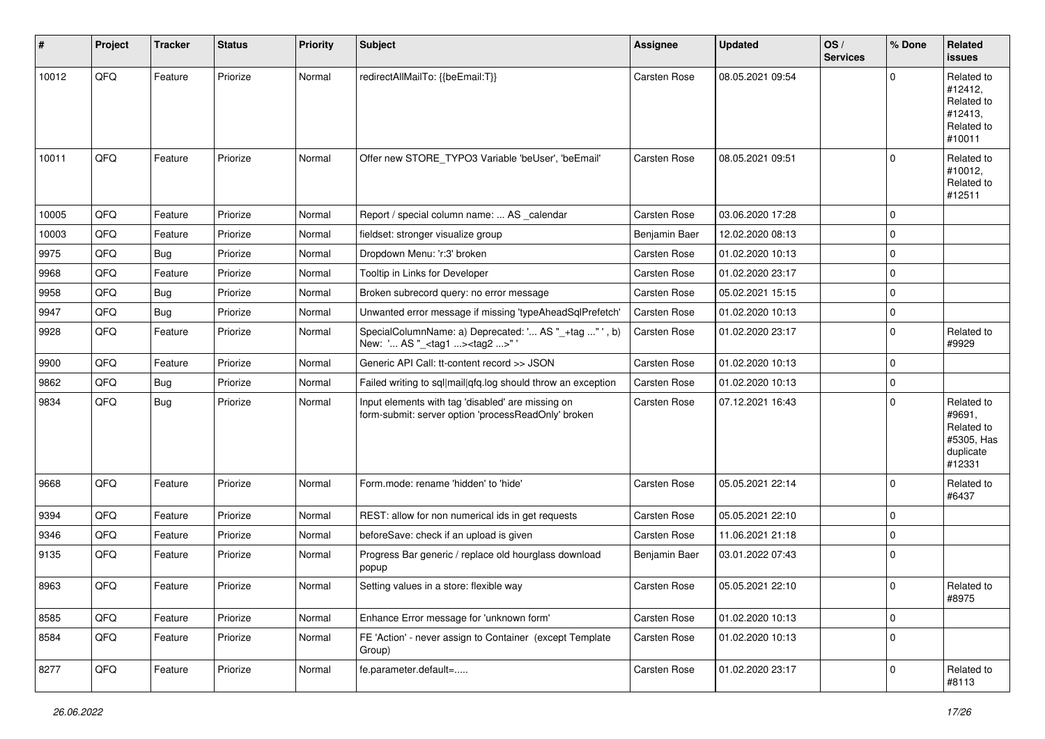| #     | Project | <b>Tracker</b> | <b>Status</b> | <b>Priority</b> | Subject                                                                                                  | Assignee            | <b>Updated</b>   | OS/<br><b>Services</b> | % Done      | <b>Related</b><br>issues                                                |
|-------|---------|----------------|---------------|-----------------|----------------------------------------------------------------------------------------------------------|---------------------|------------------|------------------------|-------------|-------------------------------------------------------------------------|
| 10012 | QFQ     | Feature        | Priorize      | Normal          | redirectAllMailTo: {{beEmail:T}}                                                                         | Carsten Rose        | 08.05.2021 09:54 |                        | $\Omega$    | Related to<br>#12412,<br>Related to<br>#12413,<br>Related to<br>#10011  |
| 10011 | QFQ     | Feature        | Priorize      | Normal          | Offer new STORE TYPO3 Variable 'beUser', 'beEmail'                                                       | <b>Carsten Rose</b> | 08.05.2021 09:51 |                        | $\mathbf 0$ | Related to<br>#10012,<br>Related to<br>#12511                           |
| 10005 | QFQ     | Feature        | Priorize      | Normal          | Report / special column name:  AS _calendar                                                              | Carsten Rose        | 03.06.2020 17:28 |                        | $\mathbf 0$ |                                                                         |
| 10003 | QFQ     | Feature        | Priorize      | Normal          | fieldset: stronger visualize group                                                                       | Benjamin Baer       | 12.02.2020 08:13 |                        | $\mathbf 0$ |                                                                         |
| 9975  | QFQ     | <b>Bug</b>     | Priorize      | Normal          | Dropdown Menu: 'r:3' broken                                                                              | Carsten Rose        | 01.02.2020 10:13 |                        | $\mathbf 0$ |                                                                         |
| 9968  | QFQ     | Feature        | Priorize      | Normal          | Tooltip in Links for Developer                                                                           | Carsten Rose        | 01.02.2020 23:17 |                        | $\mathbf 0$ |                                                                         |
| 9958  | QFQ     | <b>Bug</b>     | Priorize      | Normal          | Broken subrecord query: no error message                                                                 | Carsten Rose        | 05.02.2021 15:15 |                        | $\mathbf 0$ |                                                                         |
| 9947  | QFQ     | <b>Bug</b>     | Priorize      | Normal          | Unwanted error message if missing 'typeAheadSqlPrefetch'                                                 | <b>Carsten Rose</b> | 01.02.2020 10:13 |                        | $\mathbf 0$ |                                                                         |
| 9928  | QFQ     | Feature        | Priorize      | Normal          | SpecialColumnName: a) Deprecated: ' AS "_+tag " ', b)<br>New: ' AS "_ <tag1><tag2>" '</tag2></tag1>      | Carsten Rose        | 01.02.2020 23:17 |                        | $\mathbf 0$ | Related to<br>#9929                                                     |
| 9900  | QFQ     | Feature        | Priorize      | Normal          | Generic API Call: tt-content record >> JSON                                                              | Carsten Rose        | 01.02.2020 10:13 |                        | $\mathbf 0$ |                                                                         |
| 9862  | QFQ     | <b>Bug</b>     | Priorize      | Normal          | Failed writing to sql mail qfq.log should throw an exception                                             | <b>Carsten Rose</b> | 01.02.2020 10:13 |                        | $\mathbf 0$ |                                                                         |
| 9834  | QFQ     | <b>Bug</b>     | Priorize      | Normal          | Input elements with tag 'disabled' are missing on<br>form-submit: server option 'processReadOnly' broken | Carsten Rose        | 07.12.2021 16:43 |                        | $\mathbf 0$ | Related to<br>#9691,<br>Related to<br>#5305, Has<br>duplicate<br>#12331 |
| 9668  | QFQ     | Feature        | Priorize      | Normal          | Form.mode: rename 'hidden' to 'hide'                                                                     | Carsten Rose        | 05.05.2021 22:14 |                        | $\mathbf 0$ | Related to<br>#6437                                                     |
| 9394  | QFQ     | Feature        | Priorize      | Normal          | REST: allow for non numerical ids in get requests                                                        | Carsten Rose        | 05.05.2021 22:10 |                        | $\mathbf 0$ |                                                                         |
| 9346  | QFQ     | Feature        | Priorize      | Normal          | beforeSave: check if an upload is given                                                                  | <b>Carsten Rose</b> | 11.06.2021 21:18 |                        | $\mathbf 0$ |                                                                         |
| 9135  | QFQ     | Feature        | Priorize      | Normal          | Progress Bar generic / replace old hourglass download<br>popup                                           | Benjamin Baer       | 03.01.2022 07:43 |                        | $\mathbf 0$ |                                                                         |
| 8963  | QFQ     | Feature        | Priorize      | Normal          | Setting values in a store: flexible way                                                                  | <b>Carsten Rose</b> | 05.05.2021 22:10 |                        | $\mathbf 0$ | Related to<br>#8975                                                     |
| 8585  | QFQ     | Feature        | Priorize      | Normal          | Enhance Error message for 'unknown form'                                                                 | Carsten Rose        | 01.02.2020 10:13 |                        | $\mathbf 0$ |                                                                         |
| 8584  | QFQ     | Feature        | Priorize      | Normal          | FE 'Action' - never assign to Container (except Template<br>Group)                                       | Carsten Rose        | 01.02.2020 10:13 |                        | $\mathbf 0$ |                                                                         |
| 8277  | QFQ     | Feature        | Priorize      | Normal          | fe.parameter.default=                                                                                    | Carsten Rose        | 01.02.2020 23:17 |                        | $\mathbf 0$ | Related to<br>#8113                                                     |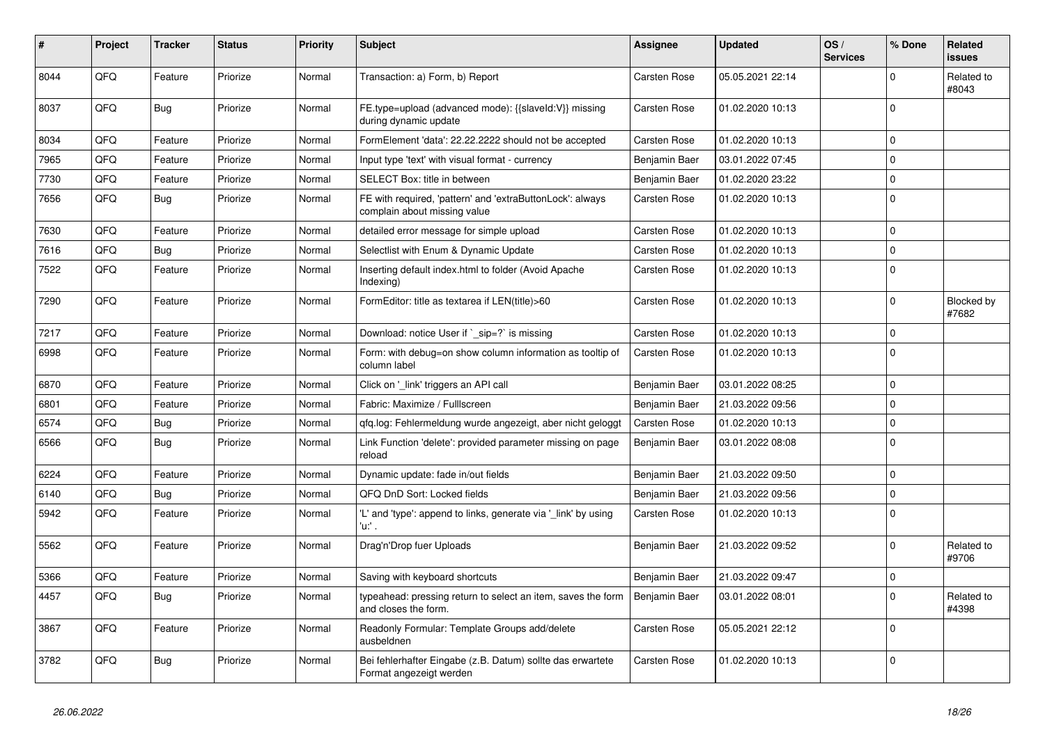| #    | Project | <b>Tracker</b> | <b>Status</b> | <b>Priority</b> | <b>Subject</b>                                                                            | Assignee            | <b>Updated</b>   | OS/<br><b>Services</b> | % Done       | Related<br><b>issues</b>   |
|------|---------|----------------|---------------|-----------------|-------------------------------------------------------------------------------------------|---------------------|------------------|------------------------|--------------|----------------------------|
| 8044 | QFQ     | Feature        | Priorize      | Normal          | Transaction: a) Form, b) Report                                                           | Carsten Rose        | 05.05.2021 22:14 |                        | $\Omega$     | Related to<br>#8043        |
| 8037 | QFQ     | Bug            | Priorize      | Normal          | FE.type=upload (advanced mode): {{slaveId:V}} missing<br>during dynamic update            | Carsten Rose        | 01.02.2020 10:13 |                        | $\Omega$     |                            |
| 8034 | QFQ     | Feature        | Priorize      | Normal          | FormElement 'data': 22.22.2222 should not be accepted                                     | Carsten Rose        | 01.02.2020 10:13 |                        | $\mathbf 0$  |                            |
| 7965 | QFQ     | Feature        | Priorize      | Normal          | Input type 'text' with visual format - currency                                           | Benjamin Baer       | 03.01.2022 07:45 |                        | $\mathbf 0$  |                            |
| 7730 | QFQ     | Feature        | Priorize      | Normal          | SELECT Box: title in between                                                              | Benjamin Baer       | 01.02.2020 23:22 |                        | $\Omega$     |                            |
| 7656 | QFQ     | <b>Bug</b>     | Priorize      | Normal          | FE with required, 'pattern' and 'extraButtonLock': always<br>complain about missing value | Carsten Rose        | 01.02.2020 10:13 |                        | $\Omega$     |                            |
| 7630 | QFQ     | Feature        | Priorize      | Normal          | detailed error message for simple upload                                                  | <b>Carsten Rose</b> | 01.02.2020 10:13 |                        | $\mathbf 0$  |                            |
| 7616 | QFQ     | <b>Bug</b>     | Priorize      | Normal          | Selectlist with Enum & Dynamic Update                                                     | Carsten Rose        | 01.02.2020 10:13 |                        | $\mathbf 0$  |                            |
| 7522 | QFQ     | Feature        | Priorize      | Normal          | Inserting default index.html to folder (Avoid Apache<br>Indexing)                         | Carsten Rose        | 01.02.2020 10:13 |                        | $\Omega$     |                            |
| 7290 | QFQ     | Feature        | Priorize      | Normal          | FormEditor: title as textarea if LEN(title)>60                                            | Carsten Rose        | 01.02.2020 10:13 |                        | $\mathbf{0}$ | <b>Blocked by</b><br>#7682 |
| 7217 | QFQ     | Feature        | Priorize      | Normal          | Download: notice User if `_sip=?` is missing                                              | Carsten Rose        | 01.02.2020 10:13 |                        | $\mathbf 0$  |                            |
| 6998 | QFQ     | Feature        | Priorize      | Normal          | Form: with debug=on show column information as tooltip of<br>column label                 | <b>Carsten Rose</b> | 01.02.2020 10:13 |                        | $\mathbf 0$  |                            |
| 6870 | QFQ     | Feature        | Priorize      | Normal          | Click on 'link' triggers an API call                                                      | Benjamin Baer       | 03.01.2022 08:25 |                        | $\mathbf 0$  |                            |
| 6801 | QFQ     | Feature        | Priorize      | Normal          | Fabric: Maximize / FullIscreen                                                            | Benjamin Baer       | 21.03.2022 09:56 |                        | $\Omega$     |                            |
| 6574 | QFQ     | Bug            | Priorize      | Normal          | gfg.log: Fehlermeldung wurde angezeigt, aber nicht geloggt                                | <b>Carsten Rose</b> | 01.02.2020 10:13 |                        | $\mathbf 0$  |                            |
| 6566 | QFQ     | <b>Bug</b>     | Priorize      | Normal          | Link Function 'delete': provided parameter missing on page<br>reload                      | Benjamin Baer       | 03.01.2022 08:08 |                        | $\Omega$     |                            |
| 6224 | QFQ     | Feature        | Priorize      | Normal          | Dynamic update: fade in/out fields                                                        | Benjamin Baer       | 21.03.2022 09:50 |                        | $\Omega$     |                            |
| 6140 | QFQ     | <b>Bug</b>     | Priorize      | Normal          | QFQ DnD Sort: Locked fields                                                               | Benjamin Baer       | 21.03.2022 09:56 |                        | $\Omega$     |                            |
| 5942 | QFQ     | Feature        | Priorize      | Normal          | 'L' and 'type': append to links, generate via 'link' by using<br>'u:' .                   | Carsten Rose        | 01.02.2020 10:13 |                        | $\Omega$     |                            |
| 5562 | QFQ     | Feature        | Priorize      | Normal          | Drag'n'Drop fuer Uploads                                                                  | Benjamin Baer       | 21.03.2022 09:52 |                        | $\Omega$     | Related to<br>#9706        |
| 5366 | QFQ     | Feature        | Priorize      | Normal          | Saving with keyboard shortcuts                                                            | Benjamin Baer       | 21.03.2022 09:47 |                        | $\mathbf 0$  |                            |
| 4457 | QFQ     | <b>Bug</b>     | Priorize      | Normal          | typeahead: pressing return to select an item, saves the form<br>and closes the form.      | Benjamin Baer       | 03.01.2022 08:01 |                        | $\Omega$     | Related to<br>#4398        |
| 3867 | QFQ     | Feature        | Priorize      | Normal          | Readonly Formular: Template Groups add/delete<br>ausbeldnen                               | Carsten Rose        | 05.05.2021 22:12 |                        | $\Omega$     |                            |
| 3782 | QFQ     | <b>Bug</b>     | Priorize      | Normal          | Bei fehlerhafter Eingabe (z.B. Datum) sollte das erwartete<br>Format angezeigt werden     | Carsten Rose        | 01.02.2020 10:13 |                        | l 0          |                            |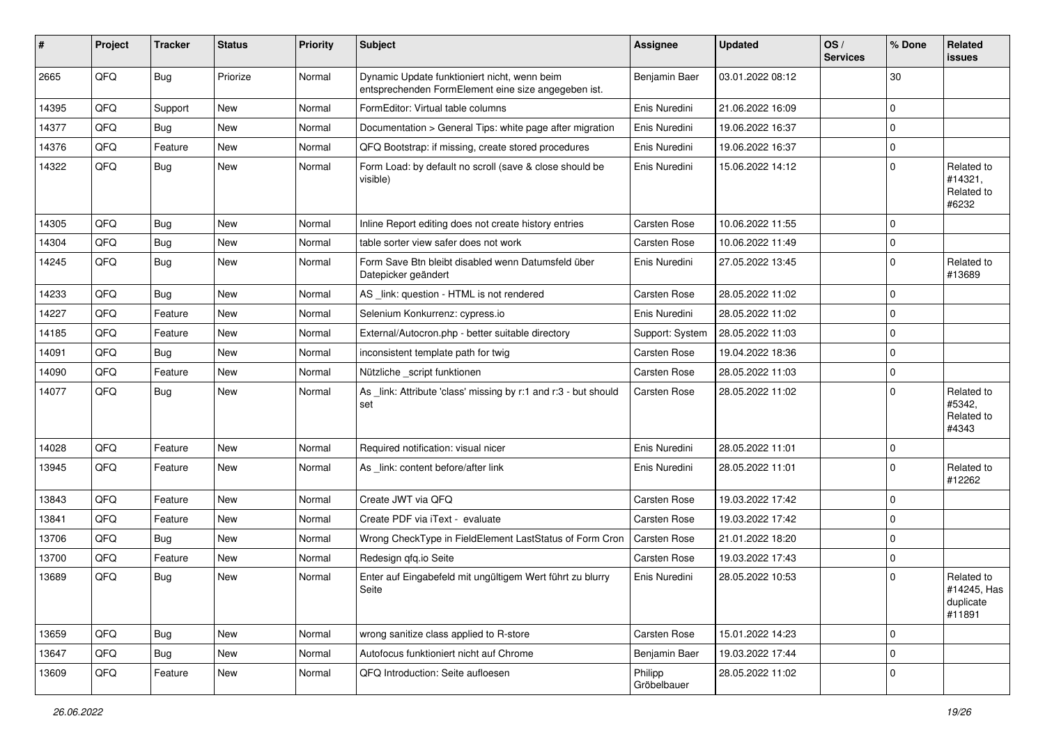| #     | Project | <b>Tracker</b> | <b>Status</b> | <b>Priority</b> | Subject                                                                                             | <b>Assignee</b>        | <b>Updated</b>   | OS/<br><b>Services</b> | % Done         | Related<br>issues                                |
|-------|---------|----------------|---------------|-----------------|-----------------------------------------------------------------------------------------------------|------------------------|------------------|------------------------|----------------|--------------------------------------------------|
| 2665  | QFQ     | <b>Bug</b>     | Priorize      | Normal          | Dynamic Update funktioniert nicht, wenn beim<br>entsprechenden FormElement eine size angegeben ist. | Benjamin Baer          | 03.01.2022 08:12 |                        | 30             |                                                  |
| 14395 | QFQ     | Support        | <b>New</b>    | Normal          | FormEditor: Virtual table columns                                                                   | Enis Nuredini          | 21.06.2022 16:09 |                        | $\mathbf 0$    |                                                  |
| 14377 | QFQ     | Bug            | New           | Normal          | Documentation > General Tips: white page after migration                                            | Enis Nuredini          | 19.06.2022 16:37 |                        | $\mathbf 0$    |                                                  |
| 14376 | QFQ     | Feature        | <b>New</b>    | Normal          | QFQ Bootstrap: if missing, create stored procedures                                                 | Enis Nuredini          | 19.06.2022 16:37 |                        | $\mathbf 0$    |                                                  |
| 14322 | QFQ     | Bug            | <b>New</b>    | Normal          | Form Load: by default no scroll (save & close should be<br>visible)                                 | Enis Nuredini          | 15.06.2022 14:12 |                        | 0              | Related to<br>#14321,<br>Related to<br>#6232     |
| 14305 | QFQ     | Bug            | <b>New</b>    | Normal          | Inline Report editing does not create history entries                                               | <b>Carsten Rose</b>    | 10.06.2022 11:55 |                        | $\overline{0}$ |                                                  |
| 14304 | QFQ     | <b>Bug</b>     | <b>New</b>    | Normal          | table sorter view safer does not work                                                               | <b>Carsten Rose</b>    | 10.06.2022 11:49 |                        | $\overline{0}$ |                                                  |
| 14245 | QFQ     | <b>Bug</b>     | <b>New</b>    | Normal          | Form Save Btn bleibt disabled wenn Datumsfeld über<br>Datepicker geändert                           | Enis Nuredini          | 27.05.2022 13:45 |                        | $\mathbf 0$    | Related to<br>#13689                             |
| 14233 | QFQ     | Bug            | <b>New</b>    | Normal          | AS _link: question - HTML is not rendered                                                           | <b>Carsten Rose</b>    | 28.05.2022 11:02 |                        | 0              |                                                  |
| 14227 | QFQ     | Feature        | <b>New</b>    | Normal          | Selenium Konkurrenz: cypress.io                                                                     | Enis Nuredini          | 28.05.2022 11:02 |                        | $\overline{0}$ |                                                  |
| 14185 | QFQ     | Feature        | New           | Normal          | External/Autocron.php - better suitable directory                                                   | Support: System        | 28.05.2022 11:03 |                        | $\overline{0}$ |                                                  |
| 14091 | QFQ     | <b>Bug</b>     | <b>New</b>    | Normal          | inconsistent template path for twig                                                                 | <b>Carsten Rose</b>    | 19.04.2022 18:36 |                        | 0              |                                                  |
| 14090 | QFQ     | Feature        | <b>New</b>    | Normal          | Nützliche _script funktionen                                                                        | Carsten Rose           | 28.05.2022 11:03 |                        | $\overline{0}$ |                                                  |
| 14077 | QFQ     | <b>Bug</b>     | <b>New</b>    | Normal          | As _link: Attribute 'class' missing by r:1 and r:3 - but should<br>set                              | <b>Carsten Rose</b>    | 28.05.2022 11:02 |                        | $\mathbf 0$    | Related to<br>#5342,<br>Related to<br>#4343      |
| 14028 | QFQ     | Feature        | <b>New</b>    | Normal          | Required notification: visual nicer                                                                 | Enis Nuredini          | 28.05.2022 11:01 |                        | $\overline{0}$ |                                                  |
| 13945 | QFQ     | Feature        | <b>New</b>    | Normal          | As link: content before/after link                                                                  | Enis Nuredini          | 28.05.2022 11:01 |                        | $\mathbf 0$    | Related to<br>#12262                             |
| 13843 | QFQ     | Feature        | <b>New</b>    | Normal          | Create JWT via QFQ                                                                                  | <b>Carsten Rose</b>    | 19.03.2022 17:42 |                        | $\mathbf 0$    |                                                  |
| 13841 | QFQ     | Feature        | <b>New</b>    | Normal          | Create PDF via iText - evaluate                                                                     | <b>Carsten Rose</b>    | 19.03.2022 17:42 |                        | $\overline{0}$ |                                                  |
| 13706 | QFQ     | Bug            | <b>New</b>    | Normal          | Wrong CheckType in FieldElement LastStatus of Form Cron                                             | Carsten Rose           | 21.01.2022 18:20 |                        | 0              |                                                  |
| 13700 | QFQ     | Feature        | <b>New</b>    | Normal          | Redesign qfq.io Seite                                                                               | <b>Carsten Rose</b>    | 19.03.2022 17:43 |                        | $\overline{0}$ |                                                  |
| 13689 | QFQ     | <b>Bug</b>     | <b>New</b>    | Normal          | Enter auf Eingabefeld mit ungültigem Wert führt zu blurry<br>Seite                                  | Enis Nuredini          | 28.05.2022 10:53 |                        | $\overline{0}$ | Related to<br>#14245, Has<br>duplicate<br>#11891 |
| 13659 | QFQ     | <b>Bug</b>     | New           | Normal          | wrong sanitize class applied to R-store                                                             | Carsten Rose           | 15.01.2022 14:23 |                        | $\overline{0}$ |                                                  |
| 13647 | QFQ     | Bug            | New           | Normal          | Autofocus funktioniert nicht auf Chrome                                                             | Benjamin Baer          | 19.03.2022 17:44 |                        | $\overline{0}$ |                                                  |
| 13609 | QFQ     | Feature        | New           | Normal          | QFQ Introduction: Seite aufloesen                                                                   | Philipp<br>Gröbelbauer | 28.05.2022 11:02 |                        | $\overline{0}$ |                                                  |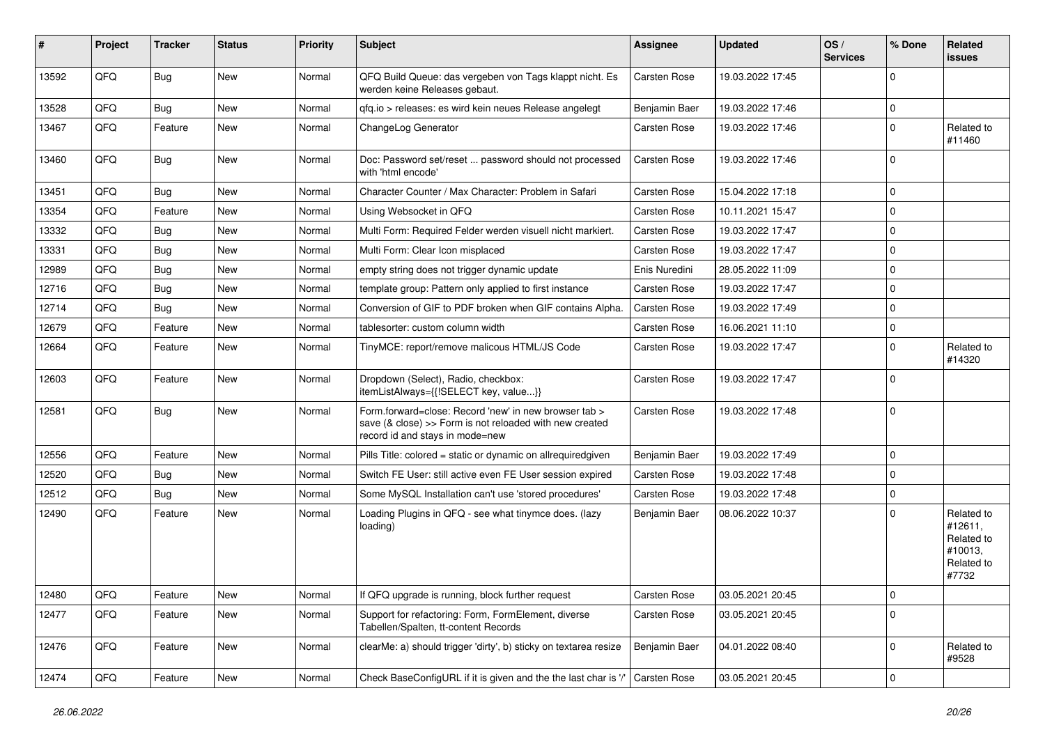| $\sharp$ | Project | <b>Tracker</b> | <b>Status</b> | <b>Priority</b> | Subject                                                                                                                                             | <b>Assignee</b>     | <b>Updated</b>   | OS/<br><b>Services</b> | % Done      | Related<br><b>issues</b>                                              |
|----------|---------|----------------|---------------|-----------------|-----------------------------------------------------------------------------------------------------------------------------------------------------|---------------------|------------------|------------------------|-------------|-----------------------------------------------------------------------|
| 13592    | QFQ     | Bug            | New           | Normal          | QFQ Build Queue: das vergeben von Tags klappt nicht. Es<br>werden keine Releases gebaut.                                                            | <b>Carsten Rose</b> | 19.03.2022 17:45 |                        | $\Omega$    |                                                                       |
| 13528    | QFQ     | <b>Bug</b>     | <b>New</b>    | Normal          | qfq.io > releases: es wird kein neues Release angelegt                                                                                              | Benjamin Baer       | 19.03.2022 17:46 |                        | $\mathbf 0$ |                                                                       |
| 13467    | QFQ     | Feature        | <b>New</b>    | Normal          | ChangeLog Generator                                                                                                                                 | Carsten Rose        | 19.03.2022 17:46 |                        | $\Omega$    | Related to<br>#11460                                                  |
| 13460    | QFQ     | <b>Bug</b>     | <b>New</b>    | Normal          | Doc: Password set/reset  password should not processed<br>with 'html encode'                                                                        | Carsten Rose        | 19.03.2022 17:46 |                        | $\Omega$    |                                                                       |
| 13451    | QFQ     | Bug            | <b>New</b>    | Normal          | Character Counter / Max Character: Problem in Safari                                                                                                | <b>Carsten Rose</b> | 15.04.2022 17:18 |                        | $\Omega$    |                                                                       |
| 13354    | QFQ     | Feature        | <b>New</b>    | Normal          | Using Websocket in QFQ                                                                                                                              | <b>Carsten Rose</b> | 10.11.2021 15:47 |                        | $\mathbf 0$ |                                                                       |
| 13332    | QFQ     | Bug            | New           | Normal          | Multi Form: Required Felder werden visuell nicht markiert.                                                                                          | Carsten Rose        | 19.03.2022 17:47 |                        | $\mathbf 0$ |                                                                       |
| 13331    | QFQ     | <b>Bug</b>     | <b>New</b>    | Normal          | Multi Form: Clear Icon misplaced                                                                                                                    | Carsten Rose        | 19.03.2022 17:47 |                        | $\mathbf 0$ |                                                                       |
| 12989    | QFQ     | Bug            | <b>New</b>    | Normal          | empty string does not trigger dynamic update                                                                                                        | Enis Nuredini       | 28.05.2022 11:09 |                        | $\mathbf 0$ |                                                                       |
| 12716    | QFQ     | Bug            | <b>New</b>    | Normal          | template group: Pattern only applied to first instance                                                                                              | <b>Carsten Rose</b> | 19.03.2022 17:47 |                        | $\mathbf 0$ |                                                                       |
| 12714    | QFQ     | Bug            | <b>New</b>    | Normal          | Conversion of GIF to PDF broken when GIF contains Alpha.                                                                                            | <b>Carsten Rose</b> | 19.03.2022 17:49 |                        | $\Omega$    |                                                                       |
| 12679    | QFQ     | Feature        | New           | Normal          | tablesorter: custom column width                                                                                                                    | Carsten Rose        | 16.06.2021 11:10 |                        | $\mathbf 0$ |                                                                       |
| 12664    | QFQ     | Feature        | New           | Normal          | TinyMCE: report/remove malicous HTML/JS Code                                                                                                        | <b>Carsten Rose</b> | 19.03.2022 17:47 |                        | $\mathbf 0$ | Related to<br>#14320                                                  |
| 12603    | QFQ     | Feature        | <b>New</b>    | Normal          | Dropdown (Select), Radio, checkbox:<br>itemListAlways={{!SELECT key, value}}                                                                        | <b>Carsten Rose</b> | 19.03.2022 17:47 |                        | $\Omega$    |                                                                       |
| 12581    | QFQ     | Bug            | New           | Normal          | Form.forward=close: Record 'new' in new browser tab ><br>save (& close) >> Form is not reloaded with new created<br>record id and stays in mode=new | <b>Carsten Rose</b> | 19.03.2022 17:48 |                        | $\Omega$    |                                                                       |
| 12556    | QFQ     | Feature        | <b>New</b>    | Normal          | Pills Title: colored = static or dynamic on allrequiredgiven                                                                                        | Benjamin Baer       | 19.03.2022 17:49 |                        | $\mathbf 0$ |                                                                       |
| 12520    | QFQ     | Bug            | <b>New</b>    | Normal          | Switch FE User: still active even FE User session expired                                                                                           | <b>Carsten Rose</b> | 19.03.2022 17:48 |                        | $\Omega$    |                                                                       |
| 12512    | QFQ     | Bug            | New           | Normal          | Some MySQL Installation can't use 'stored procedures'                                                                                               | <b>Carsten Rose</b> | 19.03.2022 17:48 |                        | $\mathbf 0$ |                                                                       |
| 12490    | QFQ     | Feature        | <b>New</b>    | Normal          | Loading Plugins in QFQ - see what tinymce does. (lazy<br>loading)                                                                                   | Benjamin Baer       | 08.06.2022 10:37 |                        | $\Omega$    | Related to<br>#12611,<br>Related to<br>#10013,<br>Related to<br>#7732 |
| 12480    | QFQ     | Feature        | <b>New</b>    | Normal          | If QFQ upgrade is running, block further request                                                                                                    | Carsten Rose        | 03.05.2021 20:45 |                        | 0           |                                                                       |
| 12477    | QFQ     | Feature        | New           | Normal          | Support for refactoring: Form, FormElement, diverse<br>Tabellen/Spalten, tt-content Records                                                         | Carsten Rose        | 03.05.2021 20:45 |                        | $\mathbf 0$ |                                                                       |
| 12476    | QFQ     | Feature        | New           | Normal          | clearMe: a) should trigger 'dirty', b) sticky on textarea resize                                                                                    | Benjamin Baer       | 04.01.2022 08:40 |                        | $\mathbf 0$ | Related to<br>#9528                                                   |
| 12474    | QFQ     | Feature        | New           | Normal          | Check BaseConfigURL if it is given and the the last char is '/'                                                                                     | Carsten Rose        | 03.05.2021 20:45 |                        | $\mathbf 0$ |                                                                       |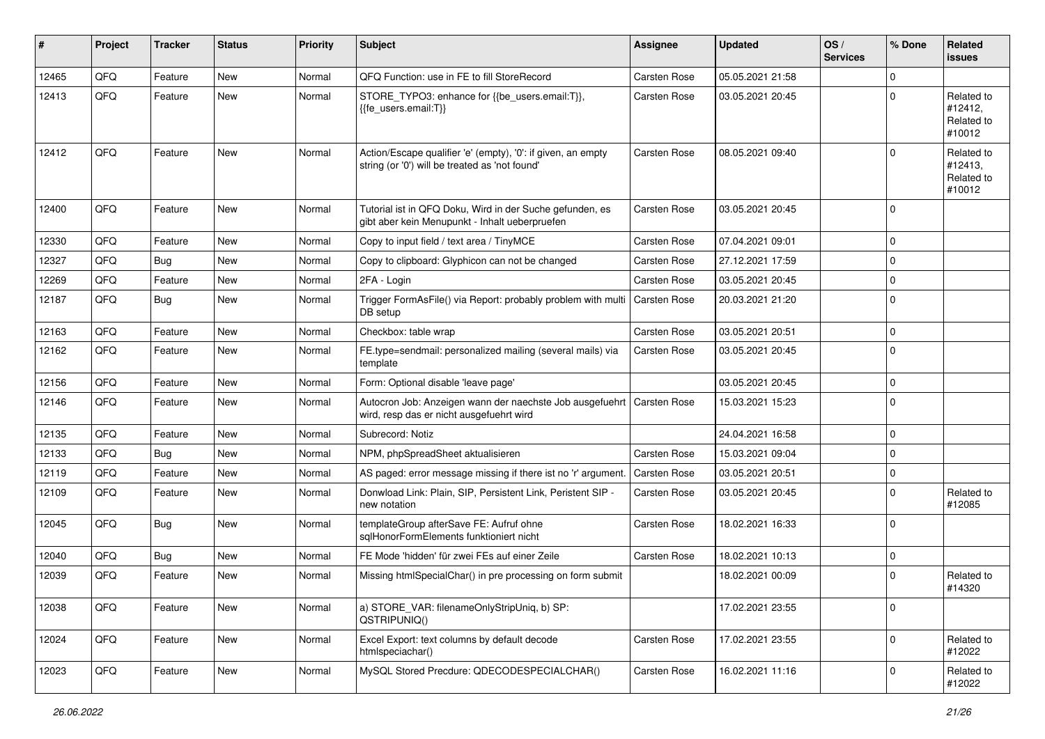| #     | Project | <b>Tracker</b> | <b>Status</b> | <b>Priority</b> | <b>Subject</b>                                                                                                 | <b>Assignee</b>     | <b>Updated</b>   | OS/<br><b>Services</b> | % Done      | <b>Related</b><br><b>issues</b>               |
|-------|---------|----------------|---------------|-----------------|----------------------------------------------------------------------------------------------------------------|---------------------|------------------|------------------------|-------------|-----------------------------------------------|
| 12465 | QFQ     | Feature        | <b>New</b>    | Normal          | QFQ Function: use in FE to fill StoreRecord                                                                    | <b>Carsten Rose</b> | 05.05.2021 21:58 |                        | $\mathbf 0$ |                                               |
| 12413 | QFQ     | Feature        | New           | Normal          | STORE_TYPO3: enhance for {{be_users.email:T}},<br>{{fe users.email:T}}                                         | <b>Carsten Rose</b> | 03.05.2021 20:45 |                        | $\mathbf 0$ | Related to<br>#12412,<br>Related to<br>#10012 |
| 12412 | QFQ     | Feature        | New           | Normal          | Action/Escape qualifier 'e' (empty), '0': if given, an empty<br>string (or '0') will be treated as 'not found' | <b>Carsten Rose</b> | 08.05.2021 09:40 |                        | $\mathbf 0$ | Related to<br>#12413,<br>Related to<br>#10012 |
| 12400 | QFQ     | Feature        | <b>New</b>    | Normal          | Tutorial ist in QFQ Doku, Wird in der Suche gefunden, es<br>gibt aber kein Menupunkt - Inhalt ueberpruefen     | <b>Carsten Rose</b> | 03.05.2021 20:45 |                        | $\mathbf 0$ |                                               |
| 12330 | QFQ     | Feature        | <b>New</b>    | Normal          | Copy to input field / text area / TinyMCE                                                                      | <b>Carsten Rose</b> | 07.04.2021 09:01 |                        | $\mathbf 0$ |                                               |
| 12327 | QFQ     | Bug            | <b>New</b>    | Normal          | Copy to clipboard: Glyphicon can not be changed                                                                | <b>Carsten Rose</b> | 27.12.2021 17:59 |                        | $\mathbf 0$ |                                               |
| 12269 | QFQ     | Feature        | <b>New</b>    | Normal          | 2FA - Login                                                                                                    | <b>Carsten Rose</b> | 03.05.2021 20:45 |                        | $\mathbf 0$ |                                               |
| 12187 | QFQ     | Bug            | <b>New</b>    | Normal          | Trigger FormAsFile() via Report: probably problem with mult<br>DB setup                                        | <b>Carsten Rose</b> | 20.03.2021 21:20 |                        | $\mathbf 0$ |                                               |
| 12163 | QFQ     | Feature        | <b>New</b>    | Normal          | Checkbox: table wrap                                                                                           | <b>Carsten Rose</b> | 03.05.2021 20:51 |                        | $\mathbf 0$ |                                               |
| 12162 | QFQ     | Feature        | New           | Normal          | FE.type=sendmail: personalized mailing (several mails) via<br>template                                         | <b>Carsten Rose</b> | 03.05.2021 20:45 |                        | $\mathbf 0$ |                                               |
| 12156 | QFQ     | Feature        | <b>New</b>    | Normal          | Form: Optional disable 'leave page'                                                                            |                     | 03.05.2021 20:45 |                        | $\mathbf 0$ |                                               |
| 12146 | QFQ     | Feature        | <b>New</b>    | Normal          | Autocron Job: Anzeigen wann der naechste Job ausgefuehrt<br>wird, resp das er nicht ausgefuehrt wird           | <b>Carsten Rose</b> | 15.03.2021 15:23 |                        | $\mathbf 0$ |                                               |
| 12135 | QFQ     | Feature        | <b>New</b>    | Normal          | Subrecord: Notiz                                                                                               |                     | 24.04.2021 16:58 |                        | $\mathbf 0$ |                                               |
| 12133 | QFQ     | Bug            | New           | Normal          | NPM, phpSpreadSheet aktualisieren                                                                              | <b>Carsten Rose</b> | 15.03.2021 09:04 |                        | $\mathbf 0$ |                                               |
| 12119 | QFQ     | Feature        | <b>New</b>    | Normal          | AS paged: error message missing if there ist no 'r' argument                                                   | <b>Carsten Rose</b> | 03.05.2021 20:51 |                        | $\mathbf 0$ |                                               |
| 12109 | QFQ     | Feature        | New           | Normal          | Donwload Link: Plain, SIP, Persistent Link, Peristent SIP -<br>new notation                                    | <b>Carsten Rose</b> | 03.05.2021 20:45 |                        | $\mathbf 0$ | Related to<br>#12085                          |
| 12045 | QFQ     | Bug            | New           | Normal          | templateGroup afterSave FE: Aufruf ohne<br>sqlHonorFormElements funktioniert nicht                             | <b>Carsten Rose</b> | 18.02.2021 16:33 |                        | $\mathbf 0$ |                                               |
| 12040 | QFQ     | <b>Bug</b>     | New           | Normal          | FE Mode 'hidden' für zwei FEs auf einer Zeile                                                                  | <b>Carsten Rose</b> | 18.02.2021 10:13 |                        | $\mathbf 0$ |                                               |
| 12039 | QFQ     | Feature        | <b>New</b>    | Normal          | Missing htmlSpecialChar() in pre processing on form submit                                                     |                     | 18.02.2021 00:09 |                        | $\mathbf 0$ | Related to<br>#14320                          |
| 12038 | QFQ     | Feature        | <b>New</b>    | Normal          | a) STORE_VAR: filenameOnlyStripUniq, b) SP:<br>QSTRIPUNIQ()                                                    |                     | 17.02.2021 23:55 |                        | $\pmb{0}$   |                                               |
| 12024 | QFQ     | Feature        | New           | Normal          | Excel Export: text columns by default decode<br>htmlspeciachar()                                               | Carsten Rose        | 17.02.2021 23:55 |                        | 0           | Related to<br>#12022                          |
| 12023 | QFQ     | Feature        | New           | Normal          | MySQL Stored Precdure: QDECODESPECIALCHAR()                                                                    | <b>Carsten Rose</b> | 16.02.2021 11:16 |                        | 0           | Related to<br>#12022                          |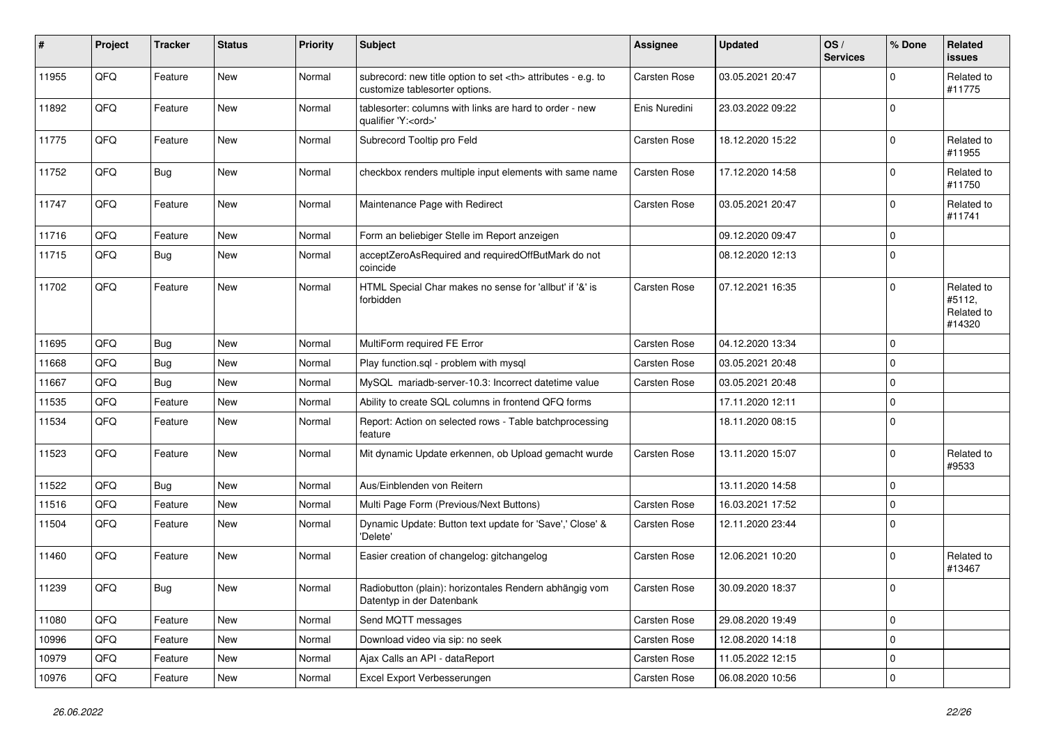| ∦     | Project | <b>Tracker</b> | <b>Status</b> | <b>Priority</b> | <b>Subject</b>                                                                                       | <b>Assignee</b>                                        | <b>Updated</b>   | OS/<br><b>Services</b> | % Done              | <b>Related</b><br><b>issues</b>              |                      |
|-------|---------|----------------|---------------|-----------------|------------------------------------------------------------------------------------------------------|--------------------------------------------------------|------------------|------------------------|---------------------|----------------------------------------------|----------------------|
| 11955 | QFQ     | Feature        | <b>New</b>    | Normal          | subrecord: new title option to set <th> attributes - e.g. to<br/>customize tablesorter options.</th> | attributes - e.g. to<br>customize tablesorter options. | Carsten Rose     | 03.05.2021 20:47       |                     | $\Omega$                                     | Related to<br>#11775 |
| 11892 | QFQ     | Feature        | New           | Normal          | tablesorter: columns with links are hard to order - new<br>qualifier 'Y: <ord>'</ord>                | Enis Nuredini                                          | 23.03.2022 09:22 |                        | $\mathbf 0$         |                                              |                      |
| 11775 | QFQ     | Feature        | <b>New</b>    | Normal          | Subrecord Tooltip pro Feld                                                                           | Carsten Rose                                           | 18.12.2020 15:22 |                        | $\Omega$            | Related to<br>#11955                         |                      |
| 11752 | QFQ     | <b>Bug</b>     | <b>New</b>    | Normal          | checkbox renders multiple input elements with same name                                              | <b>Carsten Rose</b>                                    | 17.12.2020 14:58 |                        | $\mathbf 0$         | Related to<br>#11750                         |                      |
| 11747 | QFQ     | Feature        | New           | Normal          | Maintenance Page with Redirect                                                                       | Carsten Rose                                           | 03.05.2021 20:47 |                        | $\mathbf 0$         | Related to<br>#11741                         |                      |
| 11716 | QFQ     | Feature        | New           | Normal          | Form an beliebiger Stelle im Report anzeigen                                                         |                                                        | 09.12.2020 09:47 |                        | $\mathbf 0$         |                                              |                      |
| 11715 | QFQ     | <b>Bug</b>     | New           | Normal          | acceptZeroAsRequired and requiredOffButMark do not<br>coincide                                       |                                                        | 08.12.2020 12:13 |                        | $\mathbf 0$         |                                              |                      |
| 11702 | QFQ     | Feature        | New           | Normal          | HTML Special Char makes no sense for 'allbut' if '&' is<br>forbidden                                 | Carsten Rose                                           | 07.12.2021 16:35 |                        | $\mathbf 0$         | Related to<br>#5112,<br>Related to<br>#14320 |                      |
| 11695 | QFQ     | <b>Bug</b>     | <b>New</b>    | Normal          | MultiForm required FE Error                                                                          | Carsten Rose                                           | 04.12.2020 13:34 |                        | $\mathbf 0$         |                                              |                      |
| 11668 | QFQ     | <b>Bug</b>     | New           | Normal          | Play function.sql - problem with mysql                                                               | Carsten Rose                                           | 03.05.2021 20:48 |                        | $\mathbf 0$         |                                              |                      |
| 11667 | QFQ     | Bug            | <b>New</b>    | Normal          | MySQL mariadb-server-10.3: Incorrect datetime value                                                  | <b>Carsten Rose</b>                                    | 03.05.2021 20:48 |                        | $\mathbf 0$         |                                              |                      |
| 11535 | QFQ     | Feature        | New           | Normal          | Ability to create SQL columns in frontend QFQ forms                                                  |                                                        | 17.11.2020 12:11 |                        | $\mathbf 0$         |                                              |                      |
| 11534 | QFQ     | Feature        | New           | Normal          | Report: Action on selected rows - Table batchprocessing<br>feature                                   |                                                        | 18.11.2020 08:15 |                        | $\mathbf 0$         |                                              |                      |
| 11523 | QFQ     | Feature        | <b>New</b>    | Normal          | Mit dynamic Update erkennen, ob Upload gemacht wurde                                                 | <b>Carsten Rose</b>                                    | 13.11.2020 15:07 |                        | $\mathbf 0$         | Related to<br>#9533                          |                      |
| 11522 | QFQ     | <b>Bug</b>     | New           | Normal          | Aus/Einblenden von Reitern                                                                           |                                                        | 13.11.2020 14:58 |                        | $\mathbf 0$         |                                              |                      |
| 11516 | QFQ     | Feature        | <b>New</b>    | Normal          | Multi Page Form (Previous/Next Buttons)                                                              | Carsten Rose                                           | 16.03.2021 17:52 |                        | $\mathbf 0$         |                                              |                      |
| 11504 | QFQ     | Feature        | <b>New</b>    | Normal          | Dynamic Update: Button text update for 'Save',' Close' &<br>'Delete'                                 | <b>Carsten Rose</b>                                    | 12.11.2020 23:44 |                        | $\mathbf 0$         |                                              |                      |
| 11460 | QFQ     | Feature        | New           | Normal          | Easier creation of changelog: gitchangelog                                                           | Carsten Rose                                           | 12.06.2021 10:20 |                        | $\mathbf 0$         | Related to<br>#13467                         |                      |
| 11239 | QFQ     | Bug            | New           | Normal          | Radiobutton (plain): horizontales Rendern abhängig vom<br>Datentyp in der Datenbank                  | Carsten Rose                                           | 30.09.2020 18:37 |                        | $\Omega$            |                                              |                      |
| 11080 | QFO     | Feature        | New           | Normal          | Send MQTT messages                                                                                   | Carsten Rose                                           | 29.08.2020 19:49 |                        | $\mathsf{O}\xspace$ |                                              |                      |
| 10996 | QFQ     | Feature        | New           | Normal          | Download video via sip: no seek                                                                      | Carsten Rose                                           | 12.08.2020 14:18 |                        | $\mathbf 0$         |                                              |                      |
| 10979 | QFO     | Feature        | <b>New</b>    | Normal          | Ajax Calls an API - dataReport                                                                       | Carsten Rose                                           | 11.05.2022 12:15 |                        | $\mathbf 0$         |                                              |                      |
| 10976 | QFQ     | Feature        | New           | Normal          | Excel Export Verbesserungen                                                                          | Carsten Rose                                           | 06.08.2020 10:56 |                        | $\mathbf 0$         |                                              |                      |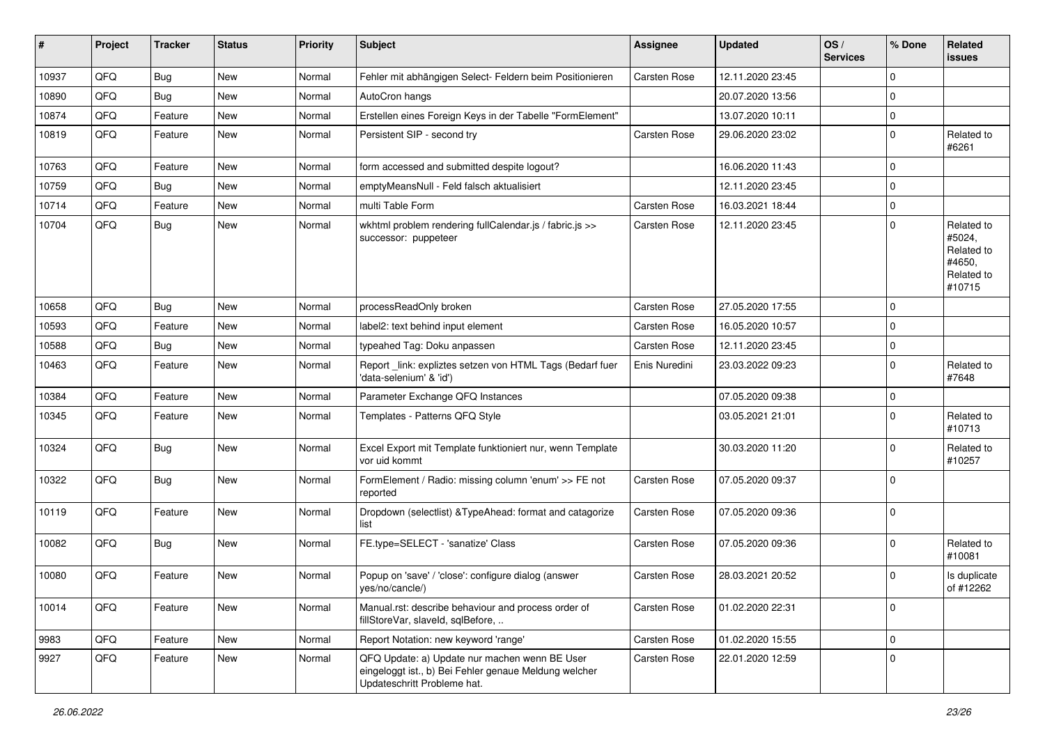| #     | Project | <b>Tracker</b> | <b>Status</b> | <b>Priority</b> | <b>Subject</b>                                                                                                                        | <b>Assignee</b>     | <b>Updated</b>   | OS/<br><b>Services</b> | % Done      | Related<br>issues                                                    |
|-------|---------|----------------|---------------|-----------------|---------------------------------------------------------------------------------------------------------------------------------------|---------------------|------------------|------------------------|-------------|----------------------------------------------------------------------|
| 10937 | QFQ     | <b>Bug</b>     | <b>New</b>    | Normal          | Fehler mit abhängigen Select- Feldern beim Positionieren                                                                              | Carsten Rose        | 12.11.2020 23:45 |                        | $\mathbf 0$ |                                                                      |
| 10890 | QFQ     | Bug            | <b>New</b>    | Normal          | AutoCron hangs                                                                                                                        |                     | 20.07.2020 13:56 |                        | $\mathbf 0$ |                                                                      |
| 10874 | QFQ     | Feature        | <b>New</b>    | Normal          | Erstellen eines Foreign Keys in der Tabelle "FormElement"                                                                             |                     | 13.07.2020 10:11 |                        | $\mathbf 0$ |                                                                      |
| 10819 | QFQ     | Feature        | New           | Normal          | Persistent SIP - second try                                                                                                           | <b>Carsten Rose</b> | 29.06.2020 23:02 |                        | $\mathbf 0$ | Related to<br>#6261                                                  |
| 10763 | QFQ     | Feature        | <b>New</b>    | Normal          | form accessed and submitted despite logout?                                                                                           |                     | 16.06.2020 11:43 |                        | $\mathbf 0$ |                                                                      |
| 10759 | QFQ     | <b>Bug</b>     | <b>New</b>    | Normal          | emptyMeansNull - Feld falsch aktualisiert                                                                                             |                     | 12.11.2020 23:45 |                        | $\mathbf 0$ |                                                                      |
| 10714 | QFQ     | Feature        | New           | Normal          | multi Table Form                                                                                                                      | <b>Carsten Rose</b> | 16.03.2021 18:44 |                        | $\mathbf 0$ |                                                                      |
| 10704 | QFQ     | Bug            | <b>New</b>    | Normal          | wkhtml problem rendering fullCalendar.js / fabric.js >><br>successor: puppeteer                                                       | <b>Carsten Rose</b> | 12.11.2020 23:45 |                        | $\mathbf 0$ | Related to<br>#5024,<br>Related to<br>#4650,<br>Related to<br>#10715 |
| 10658 | QFQ     | Bug            | <b>New</b>    | Normal          | processReadOnly broken                                                                                                                | <b>Carsten Rose</b> | 27.05.2020 17:55 |                        | $\mathbf 0$ |                                                                      |
| 10593 | QFQ     | Feature        | <b>New</b>    | Normal          | label2: text behind input element                                                                                                     | <b>Carsten Rose</b> | 16.05.2020 10:57 |                        | $\mathbf 0$ |                                                                      |
| 10588 | QFQ     | Bug            | <b>New</b>    | Normal          | typeahed Tag: Doku anpassen                                                                                                           | <b>Carsten Rose</b> | 12.11.2020 23:45 |                        | $\mathbf 0$ |                                                                      |
| 10463 | QFQ     | Feature        | <b>New</b>    | Normal          | Report_link: expliztes setzen von HTML Tags (Bedarf fuer<br>'data-selenium' & 'id')                                                   | Enis Nuredini       | 23.03.2022 09:23 |                        | $\mathbf 0$ | Related to<br>#7648                                                  |
| 10384 | QFQ     | Feature        | <b>New</b>    | Normal          | Parameter Exchange QFQ Instances                                                                                                      |                     | 07.05.2020 09:38 |                        | $\mathbf 0$ |                                                                      |
| 10345 | QFQ     | Feature        | New           | Normal          | Templates - Patterns QFQ Style                                                                                                        |                     | 03.05.2021 21:01 |                        | $\mathbf 0$ | Related to<br>#10713                                                 |
| 10324 | QFQ     | Bug            | New           | Normal          | Excel Export mit Template funktioniert nur, wenn Template<br>vor uid kommt                                                            |                     | 30.03.2020 11:20 |                        | $\mathbf 0$ | Related to<br>#10257                                                 |
| 10322 | QFQ     | <b>Bug</b>     | New           | Normal          | FormElement / Radio: missing column 'enum' >> FE not<br>reported                                                                      | <b>Carsten Rose</b> | 07.05.2020 09:37 |                        | $\mathbf 0$ |                                                                      |
| 10119 | QFQ     | Feature        | <b>New</b>    | Normal          | Dropdown (selectlist) & TypeAhead: format and catagorize<br>list                                                                      | <b>Carsten Rose</b> | 07.05.2020 09:36 |                        | $\mathbf 0$ |                                                                      |
| 10082 | QFQ     | Bug            | <b>New</b>    | Normal          | FE.type=SELECT - 'sanatize' Class                                                                                                     | <b>Carsten Rose</b> | 07.05.2020 09:36 |                        | $\mathbf 0$ | Related to<br>#10081                                                 |
| 10080 | QFQ     | Feature        | New           | Normal          | Popup on 'save' / 'close': configure dialog (answer<br>yes/no/cancle/)                                                                | <b>Carsten Rose</b> | 28.03.2021 20:52 |                        | $\mathbf 0$ | Is duplicate<br>of #12262                                            |
| 10014 | QFQ     | Feature        | New           | Normal          | Manual.rst: describe behaviour and process order of<br>fillStoreVar, slaveId, sqlBefore,                                              | Carsten Rose        | 01.02.2020 22:31 |                        | $\mathbf 0$ |                                                                      |
| 9983  | QFQ     | Feature        | New           | Normal          | Report Notation: new keyword 'range'                                                                                                  | <b>Carsten Rose</b> | 01.02.2020 15:55 |                        | $\mathbf 0$ |                                                                      |
| 9927  | QFQ     | Feature        | New           | Normal          | QFQ Update: a) Update nur machen wenn BE User<br>eingeloggt ist., b) Bei Fehler genaue Meldung welcher<br>Updateschritt Probleme hat. | Carsten Rose        | 22.01.2020 12:59 |                        | $\pmb{0}$   |                                                                      |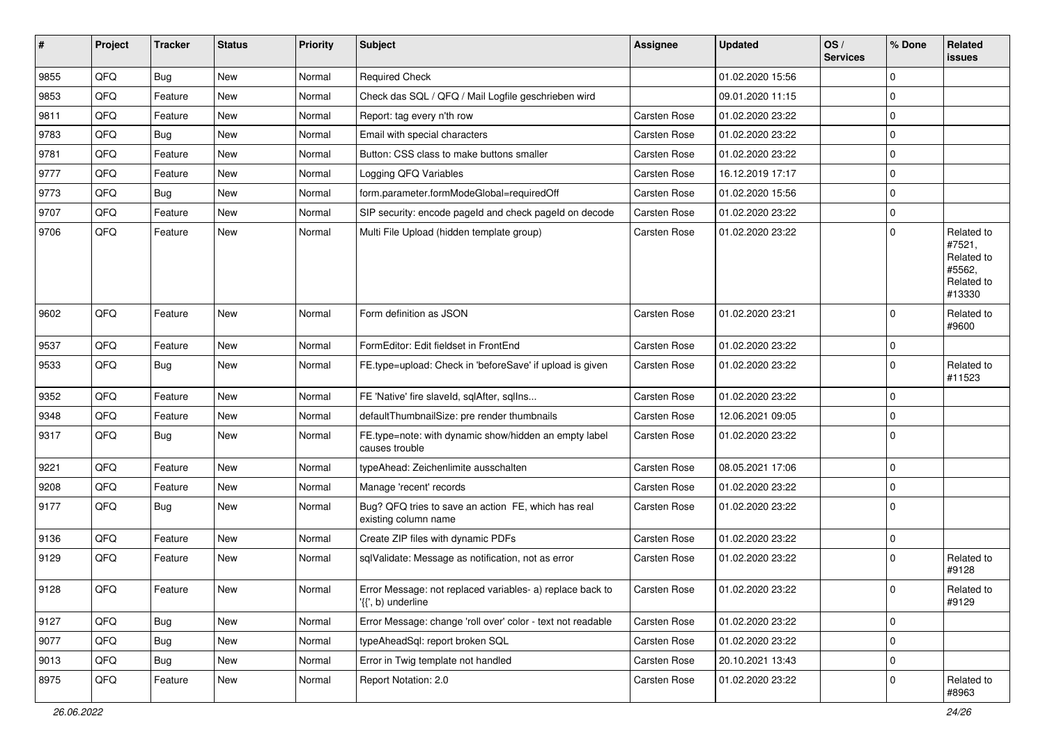| #    | Project | <b>Tracker</b> | <b>Status</b> | Priority | Subject                                                                         | Assignee            | <b>Updated</b>   | OS/<br><b>Services</b> | % Done              | Related<br><b>issues</b>                                             |
|------|---------|----------------|---------------|----------|---------------------------------------------------------------------------------|---------------------|------------------|------------------------|---------------------|----------------------------------------------------------------------|
| 9855 | QFQ     | <b>Bug</b>     | <b>New</b>    | Normal   | <b>Required Check</b>                                                           |                     | 01.02.2020 15:56 |                        | $\mathbf 0$         |                                                                      |
| 9853 | QFQ     | Feature        | <b>New</b>    | Normal   | Check das SQL / QFQ / Mail Logfile geschrieben wird                             |                     | 09.01.2020 11:15 |                        | $\mathbf 0$         |                                                                      |
| 9811 | QFQ     | Feature        | New           | Normal   | Report: tag every n'th row                                                      | <b>Carsten Rose</b> | 01.02.2020 23:22 |                        | $\mathbf 0$         |                                                                      |
| 9783 | QFQ     | <b>Bug</b>     | <b>New</b>    | Normal   | Email with special characters                                                   | <b>Carsten Rose</b> | 01.02.2020 23:22 |                        | $\mathbf 0$         |                                                                      |
| 9781 | QFQ     | Feature        | <b>New</b>    | Normal   | Button: CSS class to make buttons smaller                                       | <b>Carsten Rose</b> | 01.02.2020 23:22 |                        | $\mathbf 0$         |                                                                      |
| 9777 | QFQ     | Feature        | New           | Normal   | Logging QFQ Variables                                                           | <b>Carsten Rose</b> | 16.12.2019 17:17 |                        | $\mathbf 0$         |                                                                      |
| 9773 | QFQ     | <b>Bug</b>     | <b>New</b>    | Normal   | form.parameter.formModeGlobal=requiredOff                                       | <b>Carsten Rose</b> | 01.02.2020 15:56 |                        | $\mathbf 0$         |                                                                      |
| 9707 | QFQ     | Feature        | New           | Normal   | SIP security: encode pageld and check pageld on decode                          | <b>Carsten Rose</b> | 01.02.2020 23:22 |                        | $\mathbf 0$         |                                                                      |
| 9706 | QFQ     | Feature        | New           | Normal   | Multi File Upload (hidden template group)                                       | <b>Carsten Rose</b> | 01.02.2020 23:22 |                        | $\mathbf 0$         | Related to<br>#7521,<br>Related to<br>#5562,<br>Related to<br>#13330 |
| 9602 | QFQ     | Feature        | <b>New</b>    | Normal   | Form definition as JSON                                                         | Carsten Rose        | 01.02.2020 23:21 |                        | $\mathbf 0$         | Related to<br>#9600                                                  |
| 9537 | QFQ     | Feature        | <b>New</b>    | Normal   | FormEditor: Edit fieldset in FrontEnd                                           | <b>Carsten Rose</b> | 01.02.2020 23:22 |                        | $\mathbf 0$         |                                                                      |
| 9533 | QFQ     | Bug            | New           | Normal   | FE.type=upload: Check in 'beforeSave' if upload is given                        | <b>Carsten Rose</b> | 01.02.2020 23:22 |                        | $\mathbf 0$         | Related to<br>#11523                                                 |
| 9352 | QFQ     | Feature        | <b>New</b>    | Normal   | FE 'Native' fire slaveld, sqlAfter, sqlIns                                      | Carsten Rose        | 01.02.2020 23:22 |                        | $\mathbf 0$         |                                                                      |
| 9348 | QFQ     | Feature        | <b>New</b>    | Normal   | defaultThumbnailSize: pre render thumbnails                                     | Carsten Rose        | 12.06.2021 09:05 |                        | $\mathbf 0$         |                                                                      |
| 9317 | QFQ     | <b>Bug</b>     | <b>New</b>    | Normal   | FE.type=note: with dynamic show/hidden an empty label<br>causes trouble         | <b>Carsten Rose</b> | 01.02.2020 23:22 |                        | $\mathbf 0$         |                                                                      |
| 9221 | QFQ     | Feature        | <b>New</b>    | Normal   | typeAhead: Zeichenlimite ausschalten                                            | Carsten Rose        | 08.05.2021 17:06 |                        | $\mathbf 0$         |                                                                      |
| 9208 | QFQ     | Feature        | New           | Normal   | Manage 'recent' records                                                         | <b>Carsten Rose</b> | 01.02.2020 23:22 |                        | $\mathbf 0$         |                                                                      |
| 9177 | QFQ     | Bug            | <b>New</b>    | Normal   | Bug? QFQ tries to save an action FE, which has real<br>existing column name     | Carsten Rose        | 01.02.2020 23:22 |                        | $\mathbf 0$         |                                                                      |
| 9136 | QFQ     | Feature        | New           | Normal   | Create ZIP files with dynamic PDFs                                              | Carsten Rose        | 01.02.2020 23:22 |                        | $\mathbf 0$         |                                                                      |
| 9129 | QFQ     | Feature        | New           | Normal   | sqlValidate: Message as notification, not as error                              | <b>Carsten Rose</b> | 01.02.2020 23:22 |                        | $\mathbf 0$         | Related to<br>#9128                                                  |
| 9128 | QFQ     | Feature        | New           | Normal   | Error Message: not replaced variables- a) replace back to<br>'{{', b) underline | Carsten Rose        | 01.02.2020 23:22 |                        | $\mathsf 0$         | Related to<br>#9129                                                  |
| 9127 | QFQ     | <b>Bug</b>     | New           | Normal   | Error Message: change 'roll over' color - text not readable                     | Carsten Rose        | 01.02.2020 23:22 |                        | $\mathsf{O}\xspace$ |                                                                      |
| 9077 | QFQ     | Bug            | New           | Normal   | typeAheadSql: report broken SQL                                                 | Carsten Rose        | 01.02.2020 23:22 |                        | $\mathbf 0$         |                                                                      |
| 9013 | QFQ     | Bug            | New           | Normal   | Error in Twig template not handled                                              | Carsten Rose        | 20.10.2021 13:43 |                        | $\mathbf 0$         |                                                                      |
| 8975 | QFQ     | Feature        | New           | Normal   | Report Notation: 2.0                                                            | Carsten Rose        | 01.02.2020 23:22 |                        | $\mathbf 0$         | Related to<br>#8963                                                  |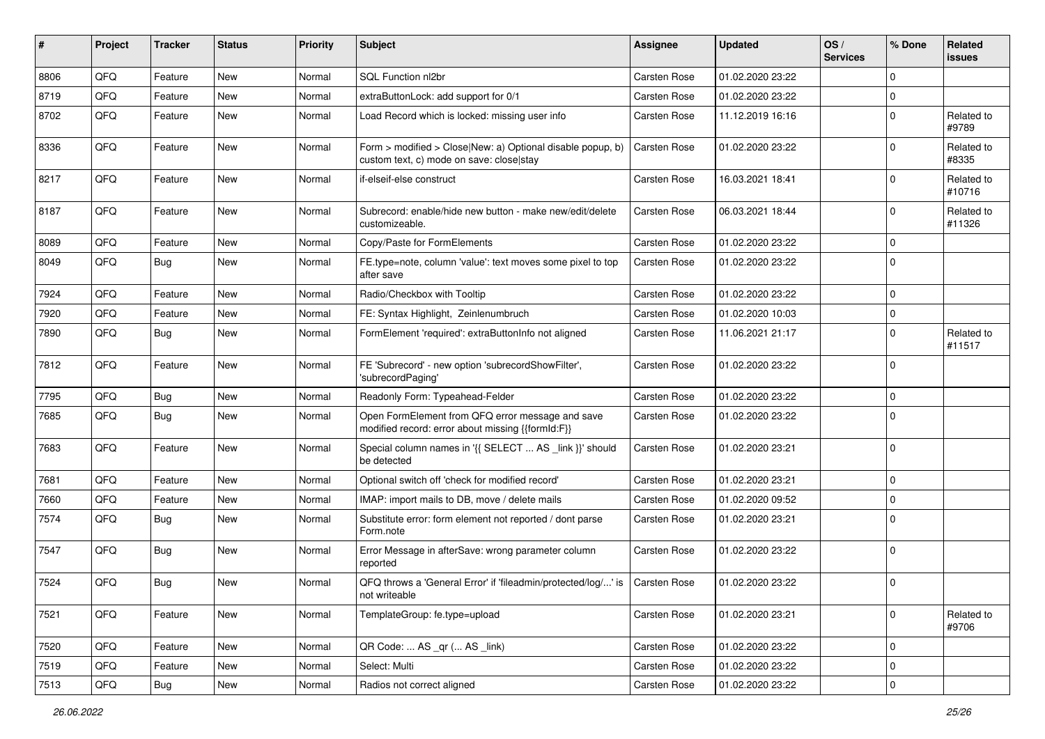| #    | Project | <b>Tracker</b> | <b>Status</b> | <b>Priority</b> | Subject                                                                                                | <b>Assignee</b>     | <b>Updated</b>   | OS/<br><b>Services</b> | % Done       | <b>Related</b><br>issues |
|------|---------|----------------|---------------|-----------------|--------------------------------------------------------------------------------------------------------|---------------------|------------------|------------------------|--------------|--------------------------|
| 8806 | QFQ     | Feature        | New           | Normal          | SQL Function nl2br                                                                                     | Carsten Rose        | 01.02.2020 23:22 |                        | $\mathbf{0}$ |                          |
| 8719 | QFQ     | Feature        | <b>New</b>    | Normal          | extraButtonLock: add support for 0/1                                                                   | <b>Carsten Rose</b> | 01.02.2020 23:22 |                        | $\mathbf 0$  |                          |
| 8702 | QFQ     | Feature        | New           | Normal          | Load Record which is locked: missing user info                                                         | Carsten Rose        | 11.12.2019 16:16 |                        | $\mathbf 0$  | Related to<br>#9789      |
| 8336 | QFQ     | Feature        | New           | Normal          | Form > modified > Close New: a) Optional disable popup, b)<br>custom text, c) mode on save: close stay | Carsten Rose        | 01.02.2020 23:22 |                        | $\mathbf 0$  | Related to<br>#8335      |
| 8217 | QFQ     | Feature        | New           | Normal          | if-elseif-else construct                                                                               | <b>Carsten Rose</b> | 16.03.2021 18:41 |                        | $\mathbf 0$  | Related to<br>#10716     |
| 8187 | QFQ     | Feature        | <b>New</b>    | Normal          | Subrecord: enable/hide new button - make new/edit/delete<br>customizeable.                             | Carsten Rose        | 06.03.2021 18:44 |                        | $\mathbf 0$  | Related to<br>#11326     |
| 8089 | QFQ     | Feature        | New           | Normal          | Copy/Paste for FormElements                                                                            | Carsten Rose        | 01.02.2020 23:22 |                        | $\mathbf 0$  |                          |
| 8049 | QFQ     | <b>Bug</b>     | New           | Normal          | FE.type=note, column 'value': text moves some pixel to top<br>after save                               | <b>Carsten Rose</b> | 01.02.2020 23:22 |                        | $\mathbf 0$  |                          |
| 7924 | QFQ     | Feature        | New           | Normal          | Radio/Checkbox with Tooltip                                                                            | Carsten Rose        | 01.02.2020 23:22 |                        | $\mathbf 0$  |                          |
| 7920 | QFQ     | Feature        | New           | Normal          | FE: Syntax Highlight, Zeinlenumbruch                                                                   | Carsten Rose        | 01.02.2020 10:03 |                        | $\mathbf 0$  |                          |
| 7890 | QFQ     | <b>Bug</b>     | New           | Normal          | FormElement 'required': extraButtonInfo not aligned                                                    | <b>Carsten Rose</b> | 11.06.2021 21:17 |                        | $\mathbf 0$  | Related to<br>#11517     |
| 7812 | QFQ     | Feature        | New           | Normal          | FE 'Subrecord' - new option 'subrecordShowFilter',<br>'subrecordPaging'                                | Carsten Rose        | 01.02.2020 23:22 |                        | $\mathbf 0$  |                          |
| 7795 | QFQ     | <b>Bug</b>     | New           | Normal          | Readonly Form: Typeahead-Felder                                                                        | Carsten Rose        | 01.02.2020 23:22 |                        | $\mathbf 0$  |                          |
| 7685 | QFQ     | <b>Bug</b>     | New           | Normal          | Open FormElement from QFQ error message and save<br>modified record: error about missing {{formId:F}}  | Carsten Rose        | 01.02.2020 23:22 |                        | $\mathbf 0$  |                          |
| 7683 | QFQ     | Feature        | New           | Normal          | Special column names in '{{ SELECT  AS _link }}' should<br>be detected                                 | Carsten Rose        | 01.02.2020 23:21 |                        | $\mathbf 0$  |                          |
| 7681 | QFQ     | Feature        | New           | Normal          | Optional switch off 'check for modified record'                                                        | Carsten Rose        | 01.02.2020 23:21 |                        | $\mathbf 0$  |                          |
| 7660 | QFQ     | Feature        | New           | Normal          | IMAP: import mails to DB, move / delete mails                                                          | Carsten Rose        | 01.02.2020 09:52 |                        | $\mathbf 0$  |                          |
| 7574 | QFQ     | <b>Bug</b>     | New           | Normal          | Substitute error: form element not reported / dont parse<br>Form.note                                  | <b>Carsten Rose</b> | 01.02.2020 23:21 |                        | $\Omega$     |                          |
| 7547 | QFQ     | <b>Bug</b>     | New           | Normal          | Error Message in afterSave: wrong parameter column<br>reported                                         | Carsten Rose        | 01.02.2020 23:22 |                        | $\mathbf 0$  |                          |
| 7524 | QFQ     | <b>Bug</b>     | New           | Normal          | QFQ throws a 'General Error' if 'fileadmin/protected/log/' is<br>not writeable                         | Carsten Rose        | 01.02.2020 23:22 |                        | $\mathbf 0$  |                          |
| 7521 | QFQ     | Feature        | New           | Normal          | TemplateGroup: fe.type=upload                                                                          | Carsten Rose        | 01.02.2020 23:21 |                        | $\mathbf 0$  | Related to<br>#9706      |
| 7520 | QFQ     | Feature        | New           | Normal          | QR Code:  AS _qr ( AS _link)                                                                           | Carsten Rose        | 01.02.2020 23:22 |                        | $\mathbf 0$  |                          |
| 7519 | QFQ     | Feature        | New           | Normal          | Select: Multi                                                                                          | Carsten Rose        | 01.02.2020 23:22 |                        | $\mathbf 0$  |                          |
| 7513 | QFQ     | Bug            | New           | Normal          | Radios not correct aligned                                                                             | Carsten Rose        | 01.02.2020 23:22 |                        | $\mathbf 0$  |                          |